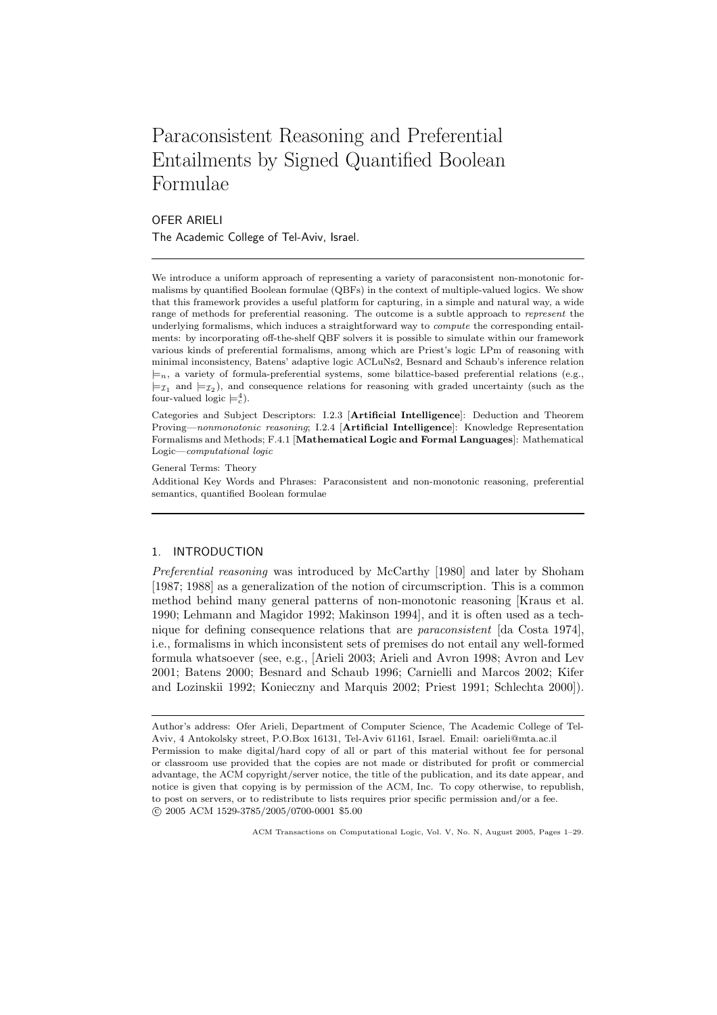# Paraconsistent Reasoning and Preferential Entailments by Signed Quantified Boolean Formulae

# OFER ARIELI The Academic College of Tel-Aviv, Israel.

We introduce a uniform approach of representing a variety of paraconsistent non-monotonic formalisms by quantified Boolean formulae (QBFs) in the context of multiple-valued logics. We show that this framework provides a useful platform for capturing, in a simple and natural way, a wide range of methods for preferential reasoning. The outcome is a subtle approach to represent the underlying formalisms, which induces a straightforward way to compute the corresponding entailments: by incorporating off-the-shelf QBF solvers it is possible to simulate within our framework various kinds of preferential formalisms, among which are Priest's logic LPm of reasoning with minimal inconsistency, Batens' adaptive logic ACLuNs2, Besnard and Schaub's inference relation  $\models n$ , a variety of formula-preferential systems, some bilattice-based preferential relations (e.g.,  $\models_{\mathcal{I}_1}$  and  $\models_{\mathcal{I}_2}$ ), and consequence relations for reasoning with graded uncertainty (such as the four-valued logic  $\models_c^4$ ).

Categories and Subject Descriptors: I.2.3 [Artificial Intelligence]: Deduction and Theorem Proving—nonmonotonic reasoning; I.2.4 [Artificial Intelligence]: Knowledge Representation Formalisms and Methods; F.4.1 [Mathematical Logic and Formal Languages]: Mathematical Logic—computational logic

General Terms: Theory

Additional Key Words and Phrases: Paraconsistent and non-monotonic reasoning, preferential semantics, quantified Boolean formulae

# 1. INTRODUCTION

Preferential reasoning was introduced by McCarthy [1980] and later by Shoham [1987; 1988] as a generalization of the notion of circumscription. This is a common method behind many general patterns of non-monotonic reasoning [Kraus et al. 1990; Lehmann and Magidor 1992; Makinson 1994], and it is often used as a technique for defining consequence relations that are paraconsistent [da Costa 1974], i.e., formalisms in which inconsistent sets of premises do not entail any well-formed formula whatsoever (see, e.g., [Arieli 2003; Arieli and Avron 1998; Avron and Lev 2001; Batens 2000; Besnard and Schaub 1996; Carnielli and Marcos 2002; Kifer and Lozinskii 1992; Konieczny and Marquis 2002; Priest 1991; Schlechta 2000]).

Author's address: Ofer Arieli, Department of Computer Science, The Academic College of Tel-Aviv, 4 Antokolsky street, P.O.Box 16131, Tel-Aviv 61161, Israel. Email: oarieli@mta.ac.il Permission to make digital/hard copy of all or part of this material without fee for personal or classroom use provided that the copies are not made or distributed for profit or commercial advantage, the ACM copyright/server notice, the title of the publication, and its date appear, and notice is given that copying is by permission of the ACM, Inc. To copy otherwise, to republish, to post on servers, or to redistribute to lists requires prior specific permission and/or a fee. c 2005 ACM 1529-3785/2005/0700-0001 \$5.00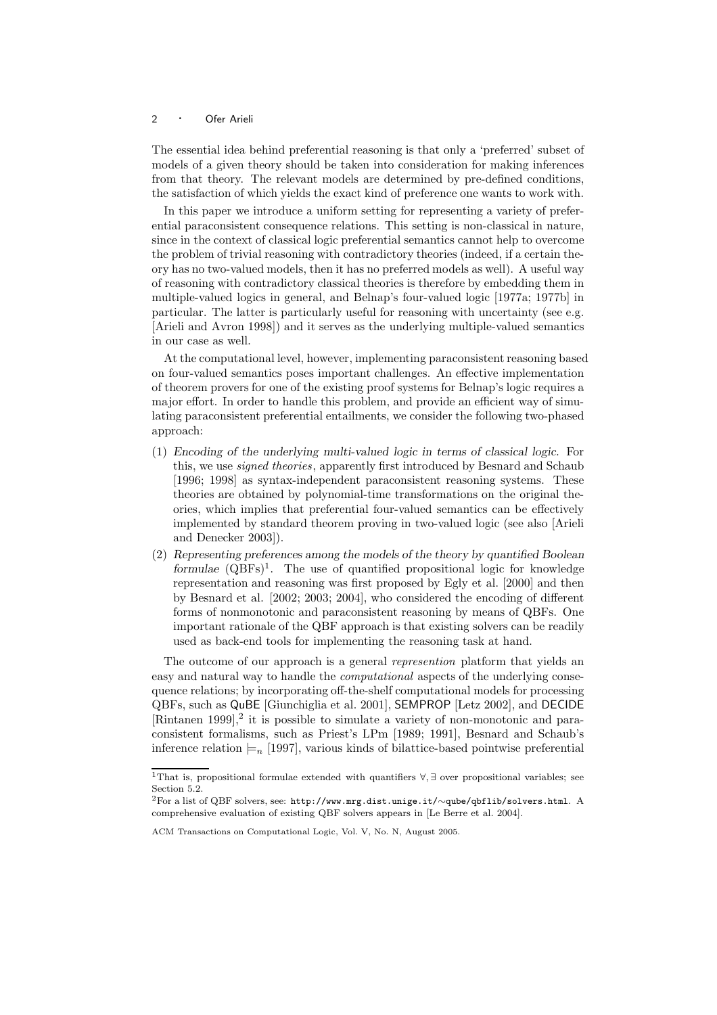The essential idea behind preferential reasoning is that only a 'preferred' subset of models of a given theory should be taken into consideration for making inferences from that theory. The relevant models are determined by pre-defined conditions, the satisfaction of which yields the exact kind of preference one wants to work with.

In this paper we introduce a uniform setting for representing a variety of preferential paraconsistent consequence relations. This setting is non-classical in nature, since in the context of classical logic preferential semantics cannot help to overcome the problem of trivial reasoning with contradictory theories (indeed, if a certain theory has no two-valued models, then it has no preferred models as well). A useful way of reasoning with contradictory classical theories is therefore by embedding them in multiple-valued logics in general, and Belnap's four-valued logic [1977a; 1977b] in particular. The latter is particularly useful for reasoning with uncertainty (see e.g. [Arieli and Avron 1998]) and it serves as the underlying multiple-valued semantics in our case as well.

At the computational level, however, implementing paraconsistent reasoning based on four-valued semantics poses important challenges. An effective implementation of theorem provers for one of the existing proof systems for Belnap's logic requires a major effort. In order to handle this problem, and provide an efficient way of simulating paraconsistent preferential entailments, we consider the following two-phased approach:

- (1) Encoding of the underlying multi-valued logic in terms of classical logic. For this, we use signed theories, apparently first introduced by Besnard and Schaub [1996; 1998] as syntax-independent paraconsistent reasoning systems. These theories are obtained by polynomial-time transformations on the original theories, which implies that preferential four-valued semantics can be effectively implemented by standard theorem proving in two-valued logic (see also [Arieli and Denecker 2003]).
- (2) Representing preferences among the models of the theory by quantified Boolean formulae  $(QBFs)^{1}$ . The use of quantified propositional logic for knowledge representation and reasoning was first proposed by Egly et al. [2000] and then by Besnard et al. [2002; 2003; 2004], who considered the encoding of different forms of nonmonotonic and paraconsistent reasoning by means of QBFs. One important rationale of the QBF approach is that existing solvers can be readily used as back-end tools for implementing the reasoning task at hand.

The outcome of our approach is a general *represention* platform that yields an easy and natural way to handle the computational aspects of the underlying consequence relations; by incorporating off-the-shelf computational models for processing QBFs, such as QuBE [Giunchiglia et al. 2001], SEMPROP [Letz 2002], and DECIDE  $[Rintanen 1999],<sup>2</sup>$  it is possible to simulate a variety of non-monotonic and paraconsistent formalisms, such as Priest's LPm [1989; 1991], Besnard and Schaub's inference relation  $\models_n$  [1997], various kinds of bilattice-based pointwise preferential

<sup>1</sup>That is, propositional formulae extended with quantifiers ∀, ∃ over propositional variables; see Section 5.2.

<sup>2</sup>For a list of QBF solvers, see: http://www.mrg.dist.unige.it/∼qube/qbflib/solvers.html. A comprehensive evaluation of existing QBF solvers appears in [Le Berre et al. 2004].

ACM Transactions on Computational Logic, Vol. V, No. N, August 2005.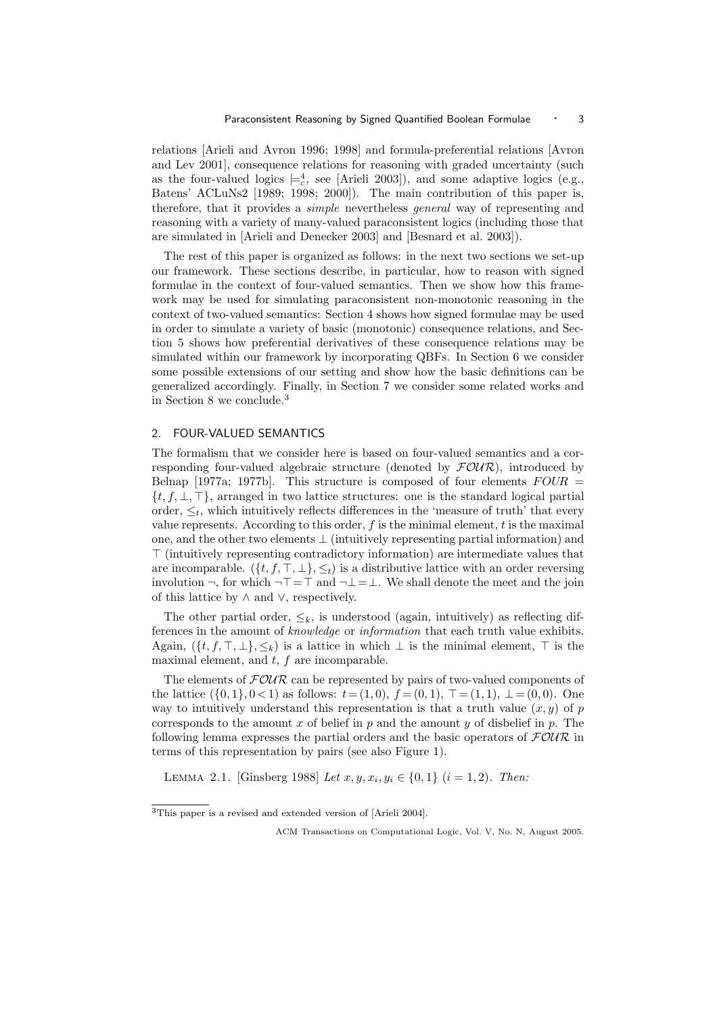relations [Arieli and Avron 1996; 1998] and formula-preferential relations [Avron and Lev 2001], consequence relations for reasoning with graded uncertainty (such as the four-valued logics  $\models_c^4$ , see [Arieli 2003]), and some adaptive logics (e.g., Batens' ACLuNs2 [1989; 1998; 2000]). The main contribution of this paper is, therefore, that it provides a simple nevertheless general way of representing and reasoning with a variety of many-valued paraconsistent logics (including those that are simulated in [Arieli and Denecker 2003] and [Besnard et al. 2003]).

The rest of this paper is organized as follows: in the next two sections we set-up our framework. These sections describe, in particular, how to reason with signed formulae in the context of four-valued semantics. Then we show how this framework may be used for simulating paraconsistent non-monotonic reasoning in the context of two-valued semantics: Section 4 shows how signed formulae may be used in order to simulate a variety of basic (monotonic) consequence relations, and Section 5 shows how preferential derivatives of these consequence relations may be simulated within our framework by incorporating QBFs. In Section 6 we consider some possible extensions of our setting and show how the basic definitions can be generalized accordingly. Finally, in Section 7 we consider some related works and in Section 8 we conclude.<sup>3</sup>

## 2. FOUR-VALUED SEMANTICS

The formalism that we consider here is based on four-valued semantics and a corresponding four-valued algebraic structure (denoted by  $\mathcal{FOUR}$ ), introduced by Belnap [1977a; 1977b]. This structure is composed of four elements  $FOUR =$  $\{t, f, \perp, \perp\}$ , arranged in two lattice structures: one is the standard logical partial order,  $\leq_t$ , which intuitively reflects differences in the 'measure of truth' that every value represents. According to this order,  $f$  is the minimal element,  $t$  is the maximal one, and the other two elements  $\perp$  (intuitively representing partial information) and ⊤ (intuitively representing contradictory information) are intermediate values that are incomparable.  $({t, f, \top, \bot}, \leq_t)$  is a distributive lattice with an order reversing involution ¬, for which ¬⊤=⊤ and ¬⊥=⊥. We shall denote the meet and the join of this lattice by  $\land$  and  $\lor$ , respectively.

The other partial order,  $\leq_k$ , is understood (again, intuitively) as reflecting differences in the amount of knowledge or information that each truth value exhibits. Again,  $(\{t, f, \top, \bot\}, \leq_k)$  is a lattice in which  $\bot$  is the minimal element,  $\top$  is the maximal element, and  $t$ ,  $f$  are incomparable.

The elements of  $F\mathcal{O}UR$  can be represented by pairs of two-valued components of the lattice  $({0, 1}, 0<1)$  as follows:  $t = (1, 0), f = (0, 1), \top = (1, 1), \bot = (0, 0)$ . One way to intuitively understand this representation is that a truth value  $(x, y)$  of p corresponds to the amount x of belief in p and the amount y of disbelief in p. The following lemma expresses the partial orders and the basic operators of  $FOUR$  in terms of this representation by pairs (see also Figure 1).

LEMMA 2.1. [Ginsberg 1988] Let  $x, y, x_i, y_i \in \{0, 1\}$   $(i = 1, 2)$ . Then:

<sup>3</sup>This paper is a revised and extended version of [Arieli 2004].

ACM Transactions on Computational Logic, Vol. V, No. N, August 2005.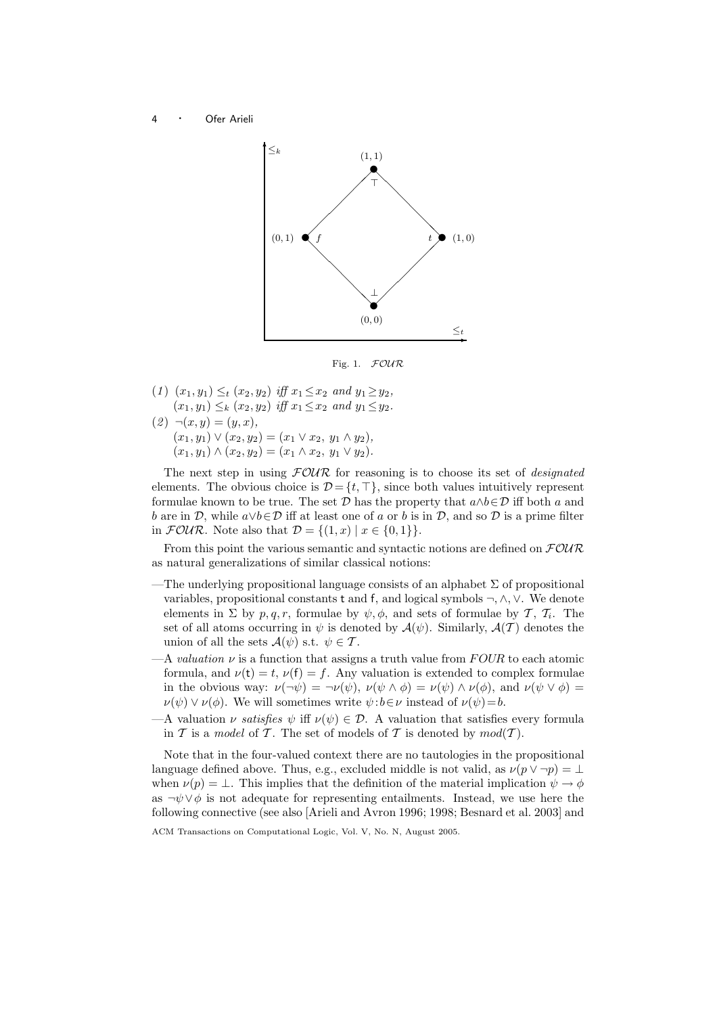

Fig. 1. FOUR

- (1)  $(x_1, y_1) \leq_t (x_2, y_2)$  iff  $x_1 \leq x_2$  and  $y_1 \geq y_2$ ,  $(x_1, y_1) \leq_k (x_2, y_2)$  iff  $x_1 \leq x_2$  and  $y_1 \leq y_2$ .
- $(2) \neg (x, y) = (y, x),$  $(x_1, y_1) \vee (x_2, y_2) = (x_1 \vee x_2, y_1 \wedge y_2),$  $(x_1, y_1) \wedge (x_2, y_2) = (x_1 \wedge x_2, y_1 \vee y_2).$

The next step in using  $FOUR$  for reasoning is to choose its set of *designated* elements. The obvious choice is  $\mathcal{D} = \{t, \top\}$ , since both values intuitively represent formulae known to be true. The set  $\mathcal D$  has the property that  $a \wedge b \in \mathcal D$  iff both a and b are in D, while  $a \lor b \in \mathcal{D}$  iff at least one of a or b is in D, and so D is a prime filter in  $\mathcal{FOUR}$ . Note also that  $\mathcal{D} = \{(1, x) \mid x \in \{0, 1\}\}.$ 

From this point the various semantic and syntactic notions are defined on  $\mathcal{FOUR}$ as natural generalizations of similar classical notions:

- —The underlying propositional language consists of an alphabet  $\Sigma$  of propositional variables, propositional constants t and f, and logical symbols ¬, ∧, ∨. We denote elements in  $\Sigma$  by  $p, q, r$ , formulae by  $\psi, \phi$ , and sets of formulae by  $\mathcal{T}, \mathcal{T}_i$ . The set of all atoms occurring in  $\psi$  is denoted by  $\mathcal{A}(\psi)$ . Similarly,  $\mathcal{A}(\mathcal{T})$  denotes the union of all the sets  $\mathcal{A}(\psi)$  s.t.  $\psi \in \mathcal{T}$ .
- $-A$  valuation  $\nu$  is a function that assigns a truth value from FOUR to each atomic formula, and  $\nu(t) = t$ ,  $\nu(f) = f$ . Any valuation is extended to complex formulae in the obvious way:  $\nu(\neg \psi) = \neg \nu(\psi)$ ,  $\nu(\psi \wedge \phi) = \nu(\psi) \wedge \nu(\phi)$ , and  $\nu(\psi \vee \phi) =$  $\nu(\psi) \vee \nu(\phi)$ . We will sometimes write  $\psi : b \in \nu$  instead of  $\nu(\psi) = b$ .
- —A valuation  $\nu$  satisfies  $\psi$  iff  $\nu(\psi) \in \mathcal{D}$ . A valuation that satisfies every formula in T is a model of T. The set of models of T is denoted by  $mod(T)$ .

Note that in the four-valued context there are no tautologies in the propositional language defined above. Thus, e.g., excluded middle is not valid, as  $\nu(p \vee \neg p) = \bot$ when  $\nu(p) = \bot$ . This implies that the definition of the material implication  $\psi \to \phi$ as  $\neg \psi \lor \phi$  is not adequate for representing entailments. Instead, we use here the following connective (see also [Arieli and Avron 1996; 1998; Besnard et al. 2003] and

ACM Transactions on Computational Logic, Vol. V, No. N, August 2005.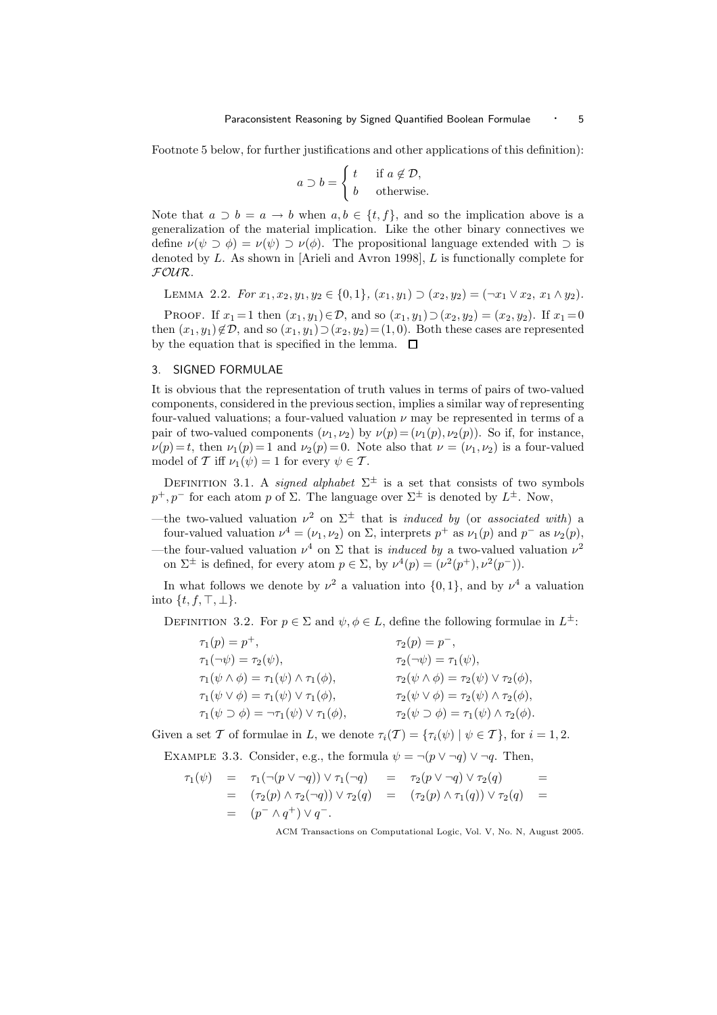Footnote 5 below, for further justifications and other applications of this definition):

$$
a \supset b = \begin{cases} t & \text{if } a \notin \mathcal{D}, \\ b & \text{otherwise.} \end{cases}
$$

Note that  $a \supset b = a \rightarrow b$  when  $a, b \in \{t, f\}$ , and so the implication above is a generalization of the material implication. Like the other binary connectives we define  $\nu(\psi \supset \phi) = \nu(\psi) \supset \nu(\phi)$ . The propositional language extended with  $\supset$  is denoted by L. As shown in [Arieli and Avron 1998], L is functionally complete for FOUR.

LEMMA 2.2. For  $x_1, x_2, y_1, y_2 \in \{0, 1\}, (x_1, y_1) \supset (x_2, y_2) = (\neg x_1 \lor x_2, x_1 \land y_2).$ 

PROOF. If  $x_1 = 1$  then  $(x_1, y_1) \in \mathcal{D}$ , and so  $(x_1, y_1) \supset (x_2, y_2) = (x_2, y_2)$ . If  $x_1 = 0$ then  $(x_1, y_1) \notin \mathcal{D}$ , and so  $(x_1, y_1) \supset (x_2, y_2) = (1, 0)$ . Both these cases are represented by the equation that is specified in the lemma.  $\Box$ 

## 3. SIGNED FORMULAE

It is obvious that the representation of truth values in terms of pairs of two-valued components, considered in the previous section, implies a similar way of representing four-valued valuations; a four-valued valuation  $\nu$  may be represented in terms of a pair of two-valued components  $(\nu_1, \nu_2)$  by  $\nu(p) = (\nu_1(p), \nu_2(p))$ . So if, for instance,  $\nu(p) = t$ , then  $\nu_1(p) = 1$  and  $\nu_2(p) = 0$ . Note also that  $\nu = (\nu_1, \nu_2)$  is a four-valued model of T iff  $\nu_1(\psi) = 1$  for every  $\psi \in T$ .

DEFINITION 3.1. A signed alphabet  $\Sigma^{\pm}$  is a set that consists of two symbols  $p^+, p^-$  for each atom p of  $\Sigma$ . The language over  $\Sigma^{\pm}$  is denoted by  $L^{\pm}$ . Now,

—the two-valued valuation  $\nu^2$  on  $\Sigma^{\pm}$  that is *induced by* (or *associated with*) a four-valued valuation  $\nu^4 = (\nu_1, \nu_2)$  on  $\Sigma$ , interprets  $p^+$  as  $\nu_1(p)$  and  $p^-$  as  $\nu_2(p)$ , —the four-valued valuation  $\nu^4$  on  $\Sigma$  that is *induced by* a two-valued valuation  $\nu^2$ 

on  $\Sigma^{\pm}$  is defined, for every atom  $p \in \Sigma$ , by  $\nu^4(p) = (\nu^2(p^+), \nu^2(p^-))$ .

In what follows we denote by  $\nu^2$  a valuation into  $\{0,1\}$ , and by  $\nu^4$  a valuation into  $\{t, f, \top, \bot\}.$ 

DEFINITION 3.2. For  $p \in \Sigma$  and  $\psi, \phi \in L$ , define the following formulae in  $L^{\pm}$ :

| $\tau_1(p) = p^+,$                                                 | $\tau_2(p) = p^{-},$                                            |
|--------------------------------------------------------------------|-----------------------------------------------------------------|
| $\tau_1(\neg\psi)=\tau_2(\psi),$                                   | $\tau_2(\neg\psi)=\tau_1(\psi),$                                |
| $\tau_1(\psi \wedge \phi) = \tau_1(\psi) \wedge \tau_1(\phi),$     | $\tau_2(\psi \wedge \phi) = \tau_2(\psi) \vee \tau_2(\phi),$    |
| $\tau_1(\psi \vee \phi) = \tau_1(\psi) \vee \tau_1(\phi),$         | $\tau_2(\psi \vee \phi) = \tau_2(\psi) \wedge \tau_2(\phi),$    |
| $\tau_1(\psi \supset \phi) = \neg \tau_1(\psi) \vee \tau_1(\phi),$ | $\tau_2(\psi \supset \phi) = \tau_1(\psi) \wedge \tau_2(\phi).$ |

Given a set T of formulae in L, we denote  $\tau_i(T) = {\tau_i(\psi) | \psi \in T}$ , for  $i = 1, 2$ .

EXAMPLE 3.3. Consider, e.g., the formula  $\psi = \neg(p \lor \neg q) \lor \neg q$ . Then,

$$
\tau_1(\psi) = \tau_1(\neg(p \lor \neg q)) \lor \tau_1(\neg q) = \tau_2(p \lor \neg q) \lor \tau_2(q) =
$$
  
\n
$$
= (\tau_2(p) \land \tau_2(\neg q)) \lor \tau_2(q) = (\tau_2(p) \land \tau_1(q)) \lor \tau_2(q) =
$$
  
\n
$$
= (p \land q^+) \lor q^-.
$$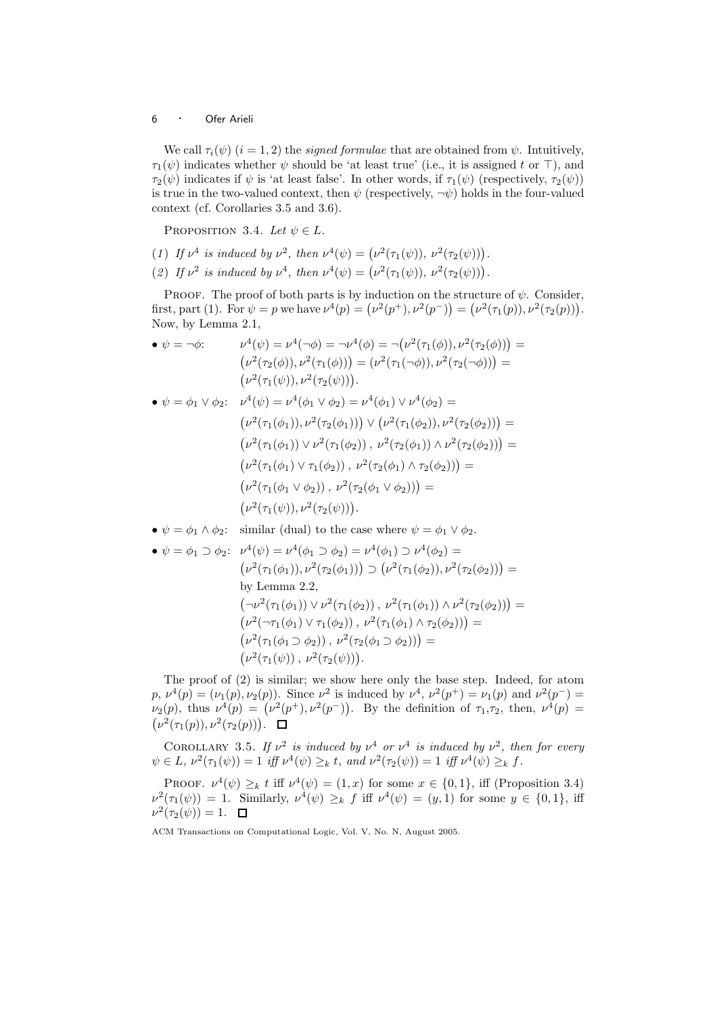We call  $\tau_i(\psi)$   $(i = 1, 2)$  the *signed formulae* that are obtained from  $\psi$ . Intuitively,  $\tau_1(\psi)$  indicates whether  $\psi$  should be 'at least true' (i.e., it is assigned t or ⊤), and  $\tau_2(\psi)$  indicates if  $\psi$  is 'at least false'. In other words, if  $\tau_1(\psi)$  (respectively,  $\tau_2(\psi)$ ) is true in the two-valued context, then  $\psi$  (respectively,  $\neg \psi$ ) holds in the four-valued context (cf. Corollaries 3.5 and 3.6).

PROPOSITION 3.4. Let  $\psi \in L$ .

- (1) If  $\nu^4$  is induced by  $\nu^2$ , then  $\nu^4(\psi) = (\nu^2(\tau_1(\psi)), \nu^2(\tau_2(\psi))).$
- (2) If  $\nu^2$  is induced by  $\nu^4$ , then  $\nu^4(\psi) = (\nu^2(\tau_1(\psi)), \nu^2(\tau_2(\psi)))$ .

PROOF. The proof of both parts is by induction on the structure of  $\psi$ . Consider, first, part (1). For  $\psi = p$  we have  $\nu^4(p) = (\nu^2(p^+), \nu^2(p^-)) = (\nu^2(\tau_1(p)), \nu^2(\tau_2(p))).$ Now, by Lemma 2.1,

• 
$$
\psi = \neg \phi
$$
:  
\n
$$
\nu^4(\psi) = \nu^4(\neg \phi) = \neg \nu^4(\phi) = \neg (\nu^2(\tau_1(\phi)), \nu^2(\tau_2(\phi))) =
$$
\n
$$
(\nu^2(\tau_2(\phi)), \nu^2(\tau_1(\phi))) = (\nu^2(\tau_1(\neg \phi)), \nu^2(\tau_2(\neg \phi))) =
$$
\n
$$
(\nu^2(\tau_1(\psi)), \nu^2(\tau_2(\psi))).
$$
\n•  $\psi = \phi_1 \lor \phi_2$ :  
\n
$$
\nu^4(\psi) = \nu^4(\phi_1 \lor \phi_2) = \nu^4(\phi_1 \lor \nu^4(\phi_2) =
$$
\n
$$
(\nu^2(\tau_1(\phi_1)), \nu^2(\tau_2(\phi_1))) \lor (\nu^2(\tau_1(\phi_2)), \nu^2(\tau_2(\phi_2))) =
$$
\n
$$
(\nu^2(\tau_1(\phi_1)) \lor \nu^2(\tau_1(\phi_2)), \nu^2(\tau_2(\phi_1)) \land \nu^2(\tau_2(\phi_2))) =
$$
\n
$$
(\nu^2(\tau_1(\phi_1) \lor \tau_1(\phi_2)), \nu^2(\tau_2(\phi_1) \land \tau_2(\phi_2))) =
$$
\n
$$
(\nu^2(\tau_1(\phi_1 \lor \phi_2)), \nu^2(\tau_2(\phi_1 \lor \phi_2))) =
$$
\n
$$
(\nu^2(\tau_1(\psi)), \nu^2(\tau_2(\psi))).
$$

•  $\psi = \phi_1 \wedge \phi_2$ : similar (dual) to the case where  $\psi = \phi_1 \vee \phi_2$ .

• 
$$
\psi = \phi_1 \supset \phi_2
$$
:  $\nu^4(\psi) = \nu^4(\phi_1 \supset \phi_2) = \nu^4(\phi_1) \supset \nu^4(\phi_2) =$   
\n
$$
(\nu^2(\tau_1(\phi_1)), \nu^2(\tau_2(\phi_1))) \supset (\nu^2(\tau_1(\phi_2)), \nu^2(\tau_2(\phi_2))) =
$$
\nby Lemma 2.2,  
\n
$$
(\neg \nu^2(\tau_1(\phi_1)) \vee \nu^2(\tau_1(\phi_2)), \nu^2(\tau_1(\phi_1)) \wedge \nu^2(\tau_2(\phi_2))) =
$$
\n
$$
(\nu^2(\neg \tau_1(\phi_1) \vee \tau_1(\phi_2)), \nu^2(\tau_1(\phi_1) \wedge \tau_2(\phi_2))) =
$$
\n
$$
(\nu^2(\tau_1(\phi_1 \supset \phi_2)), \nu^2(\tau_2(\phi_1 \supset \phi_2))) =
$$
\n
$$
(\nu^2(\tau_1(\psi)), \nu^2(\tau_2(\psi))).
$$

The proof of (2) is similar; we show here only the base step. Indeed, for atom  $p, \nu^4(p) = (\nu_1(p), \nu_2(p)).$  Since  $\nu^2$  is induced by  $\nu^4, \nu^2(p^+) = \nu_1(p)$  and  $\nu^2(p^-) =$  $\nu_2(p)$ , thus  $\nu^4(p) = (\nu^2(p^+), \nu^2(p^-))$ . By the definition of  $\tau_1, \tau_2$ , then,  $\nu^4(p) =$  $(\nu^2(\tau_1(p)), \nu^2(\tau_2(p))).$ 

COROLLARY 3.5. If  $\nu^2$  is induced by  $\nu^4$  or  $\nu^4$  is induced by  $\nu^2$ , then for every  $\psi \in L$ ,  $\nu^2(\tau_1(\psi)) = 1$  iff  $\nu^4(\psi) \geq_k t$ , and  $\nu^2(\tau_2(\psi)) = 1$  iff  $\nu^4(\psi) \geq_k f$ .

PROOF.  $\nu^4(\psi) \geq_k t$  iff  $\nu^4(\psi) = (1, x)$  for some  $x \in \{0, 1\}$ , iff (Proposition 3.4)  $\nu^2(\tau_1(\psi)) = 1$ . Similarly,  $\nu^4(\psi) \geq_k f$  iff  $\nu^4(\psi) = (y, 1)$  for some  $y \in \{0, 1\}$ , iff  $\nu^2(\tau_2(\psi)) = 1.$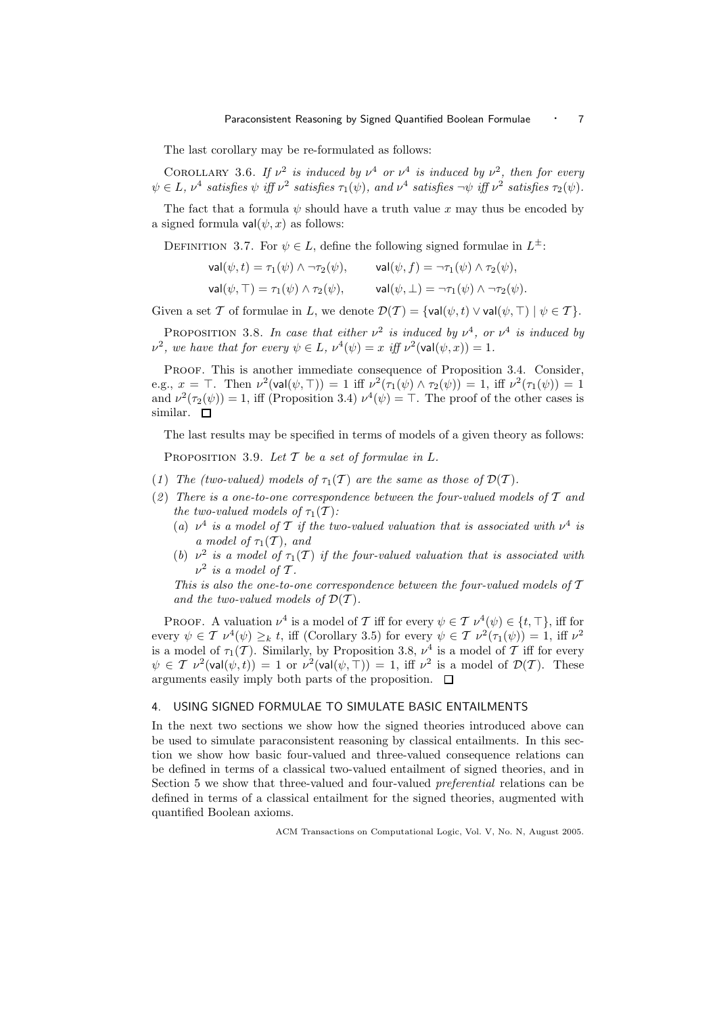The last corollary may be re-formulated as follows:

COROLLARY 3.6. If  $\nu^2$  is induced by  $\nu^4$  or  $\nu^4$  is induced by  $\nu^2$ , then for every  $\psi \in L$ ,  $\nu^4$  satisfies  $\psi$  iff  $\nu^2$  satisfies  $\tau_1(\psi)$ , and  $\nu^4$  satisfies  $\neg \psi$  iff  $\nu^2$  satisfies  $\tau_2(\psi)$ .

The fact that a formula  $\psi$  should have a truth value x may thus be encoded by a signed formula  $val(\psi, x)$  as follows:

DEFINITION 3.7. For  $\psi \in L$ , define the following signed formulae in  $L^{\pm}$ :

$$
\mathsf{val}(\psi, t) = \tau_1(\psi) \land \neg \tau_2(\psi), \qquad \mathsf{val}(\psi, f) = \neg \tau_1(\psi) \land \tau_2(\psi),
$$
  

$$
\mathsf{val}(\psi, \top) = \tau_1(\psi) \land \tau_2(\psi), \qquad \mathsf{val}(\psi, \bot) = \neg \tau_1(\psi) \land \neg \tau_2(\psi).
$$

Given a set T of formulae in L, we denote  $\mathcal{D}(\mathcal{T}) = \{ \text{val}(\psi, t) \vee \text{val}(\psi, \top) \mid \psi \in \mathcal{T} \}.$ 

PROPOSITION 3.8. In case that either  $\nu^2$  is induced by  $\nu^4$ , or  $\nu^4$  is induced by  $\nu^2$ , we have that for every  $\psi \in L$ ,  $\nu^4(\psi) = x$  iff  $\nu^2(\text{val}(\psi, x)) = 1$ .

PROOF. This is another immediate consequence of Proposition 3.4. Consider, e.g.,  $x = \top$ . Then  $\nu^2(\text{val}(\psi, \top)) = 1$  iff  $\nu^2(\tau_1(\psi) \wedge \tau_2(\psi)) = 1$ , iff  $\nu^2(\tau_1(\psi)) = 1$ and  $\nu^2(\tau_2(\psi)) = 1$ , iff (Proposition 3.4)  $\nu^4(\psi) = \top$ . The proof of the other cases is similar.  $\square$ 

The last results may be specified in terms of models of a given theory as follows:

PROPOSITION 3.9. Let  $T$  be a set of formulae in L.

- (1) The (two-valued) models of  $\tau_1(\mathcal{T})$  are the same as those of  $\mathcal{D}(\mathcal{T})$ .
- (2) There is a one-to-one correspondence between the four-valued models of  $\mathcal T$  and the two-valued models of  $\tau_1(\mathcal{T})$ :
	- (a)  $\nu^4$  is a model of T if the two-valued valuation that is associated with  $\nu^4$  is a model of  $\tau_1(\mathcal{T})$ , and
	- (b)  $\nu^2$  is a model of  $\tau_1(\mathcal{T})$  if the four-valued valuation that is associated with  $\nu^2$  is a model of T.

This is also the one-to-one correspondence between the four-valued models of  $T$ and the two-valued models of  $\mathcal{D}(\mathcal{T})$ .

PROOF. A valuation  $\nu^4$  is a model of T iff for every  $\psi \in \mathcal{T}$   $\nu^4(\psi) \in \{t, \top\}$ , iff for every  $\psi \in \mathcal{T} \nu^4(\psi) \geq_k t$ , iff (Corollary 3.5) for every  $\psi \in \mathcal{T} \nu^2(\tau_1(\psi)) = 1$ , iff  $\nu^2$ is a model of  $\tau_1(\mathcal{T})$ . Similarly, by Proposition 3.8,  $\nu^4$  is a model of  $\mathcal T$  iff for every  $\psi \in \mathcal{T} \nu^2(\textsf{val}(\psi, t)) = 1 \text{ or } \nu^2(\textsf{val}(\psi, \top)) = 1$ , iff  $\nu^2$  is a model of  $\mathcal{D}(\mathcal{T})$ . These arguments easily imply both parts of the proposition.  $\Box$ 

#### 4. USING SIGNED FORMULAE TO SIMULATE BASIC ENTAILMENTS

In the next two sections we show how the signed theories introduced above can be used to simulate paraconsistent reasoning by classical entailments. In this section we show how basic four-valued and three-valued consequence relations can be defined in terms of a classical two-valued entailment of signed theories, and in Section 5 we show that three-valued and four-valued preferential relations can be defined in terms of a classical entailment for the signed theories, augmented with quantified Boolean axioms.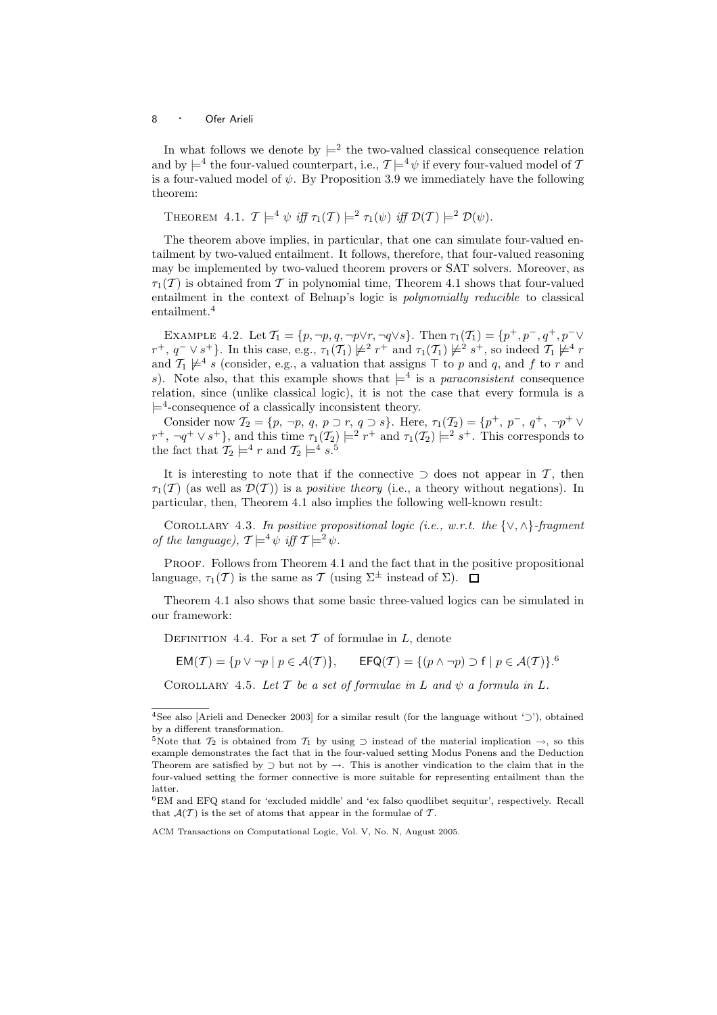In what follows we denote by  $\models^2$  the two-valued classical consequence relation and by  $\models^4$  the four-valued counterpart, i.e.,  $\mathcal{T} \models^4 \psi$  if every four-valued model of  $\mathcal I$ is a four-valued model of  $\psi$ . By Proposition 3.9 we immediately have the following theorem:

THEOREM 4.1. 
$$
T \models^4 \psi
$$
 iff  $\tau_1(T) \models^2 \tau_1(\psi)$  iff  $\mathcal{D}(T) \models^2 \mathcal{D}(\psi)$ .

The theorem above implies, in particular, that one can simulate four-valued entailment by two-valued entailment. It follows, therefore, that four-valued reasoning may be implemented by two-valued theorem provers or SAT solvers. Moreover, as  $\tau_1(\mathcal{T})$  is obtained from  $\mathcal T$  in polynomial time, Theorem 4.1 shows that four-valued entailment in the context of Belnap's logic is polynomially reducible to classical entailment.<sup>4</sup>

EXAMPLE 4.2. Let  $\mathcal{T}_1 = \{p, \neg p, q, \neg p \lor r, \neg q \lor s\}$ . Then  $\tau_1(\mathcal{T}_1) = \{p^+, p^-, q^+, p^-\lor$  $r^+$ ,  $q^- \vee s^+$ }. In this case, e.g.,  $\tau_1(\mathcal{T}_1) \not\models^2 r^+$  and  $\tau_1(\mathcal{T}_1) \not\models^2 s^+$ , so indeed  $\mathcal{T}_1 \not\models^4 r$ and  $\mathcal{T}_1 \not\models^4 s$  (consider, e.g., a valuation that assigns  $\top$  to p and q, and f to r and s). Note also, that this example shows that  $\models^4$  is a *paraconsistent* consequence relation, since (unlike classical logic), it is not the case that every formula is a  $\models^4$ -consequence of a classically inconsistent theory.

Consider now  $\mathcal{T}_2 = \{p, \neg p, q, p \supset r, q \supset s\}$ . Here,  $\tau_1(\mathcal{T}_2) = \{p^+, p^-, q^+, \neg p^+ \vee p^+ \}$  $r^+$ ,  $\neg q^+ \vee s^+$ , and this time  $\tau_1(\mathcal{T}_2) \models^2 r^+$  and  $\tau_1(\mathcal{T}_2) \models^2 s^+$ . This corresponds to the fact that  $\mathcal{T}_2 \models^4 r$  and  $\mathcal{T}_2 \models^4 s$ .<sup>5</sup>

It is interesting to note that if the connective ⊃ does not appear in  $\mathcal{T}$ , then  $\tau_1(\mathcal{T})$  (as well as  $\mathcal{D}(\mathcal{T})$ ) is a *positive theory* (i.e., a theory without negations). In particular, then, Theorem 4.1 also implies the following well-known result:

COROLLARY 4.3. In positive propositional logic (i.e., w.r.t. the  $\{\vee,\wedge\}$ -fragment of the language),  $\mathcal{T} \models^4 \psi$  iff  $\mathcal{T} \models^2 \psi$ .

PROOF. Follows from Theorem 4.1 and the fact that in the positive propositional language,  $\tau_1(\mathcal{T})$  is the same as  $\mathcal{T}$  (using  $\Sigma^{\pm}$  instead of  $\Sigma$ ).  $\square$ 

Theorem 4.1 also shows that some basic three-valued logics can be simulated in our framework:

DEFINITION 4.4. For a set  $T$  of formulae in  $L$ , denote

 $\mathsf{EM}(\mathcal{T}) = \{p \lor \neg p \mid p \in \mathcal{A}(\mathcal{T})\}, \qquad \mathsf{EFQ}(\mathcal{T}) = \{(p \land \neg p) \supset f \mid p \in \mathcal{A}(\mathcal{T})\}.^6$ 

COROLLARY 4.5. Let  $T$  be a set of formulae in  $L$  and  $\psi$  a formula in  $L$ .

<sup>4</sup>See also [Arieli and Denecker 2003] for a similar result (for the language without '⊃'), obtained by a different transformation.

<sup>5</sup>Note that  $\mathcal{T}_2$  is obtained from  $\mathcal{T}_1$  by using  $\supset$  instead of the material implication  $\rightarrow$ , so this example demonstrates the fact that in the four-valued setting Modus Ponens and the Deduction Theorem are satisfied by  $\supset$  but not by  $\rightarrow$ . This is another vindication to the claim that in the four-valued setting the former connective is more suitable for representing entailment than the latter.

<sup>6</sup>EM and EFQ stand for 'excluded middle' and 'ex falso quodlibet sequitur', respectively. Recall that  $\mathcal{A}(\mathcal{T})$  is the set of atoms that appear in the formulae of  $\mathcal{T}$ .

ACM Transactions on Computational Logic, Vol. V, No. N, August 2005.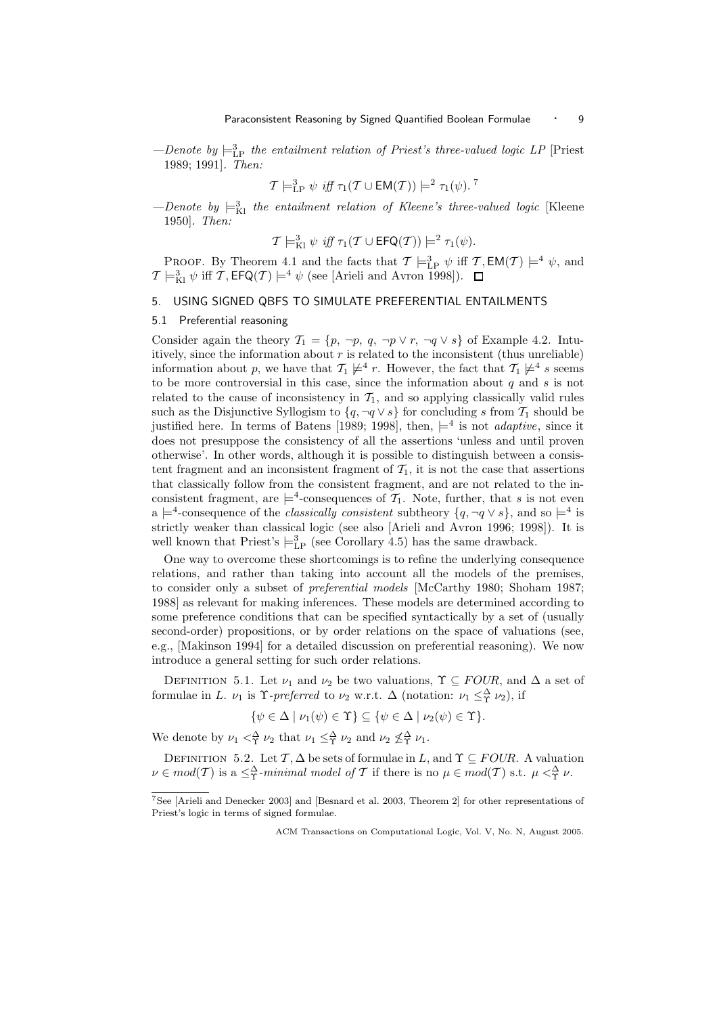-Denote by  $\models_{\text{LP}}^3$  the entailment relation of Priest's three-valued logic LP [Priest 1989; 1991]. Then:

$$
\mathcal{T}\models^3_{\mathrm{LP}} \psi \text{ iff } \tau_1(\mathcal{T}\cup \mathsf{EM}(\mathcal{T}))\models^2 \tau_1(\psi). \text{ }^\mathcal{T}
$$

-Denote by  $\models_{\text{Kl}}^3$  the entailment relation of Kleene's three-valued logic [Kleene 1950]. Then:

$$
\mathcal{T} \models_{\mathrm{K1}}^3 \psi \text{ iff } \tau_1(\mathcal{T} \cup \mathsf{EFG}(\mathcal{T})) \models^2 \tau_1(\psi).
$$

**PROOF.** By Theorem 4.1 and the facts that  $\mathcal{T} \models^3_{\text{LP}} \psi$  iff  $\mathcal{T}, \text{EM}(\mathcal{T}) \models^4 \psi$ , and  $\mathcal{T} \models^3_{\text{Kl}} \psi$  iff  $\mathcal{T}, \text{EFQ}(\mathcal{T}) \models^4 \psi$  (see [Arieli and Avron 1998]).

## 5. USING SIGNED QBFS TO SIMULATE PREFERENTIAL ENTAILMENTS

#### 5.1 Preferential reasoning

Consider again the theory  $\mathcal{T}_1 = \{p, \neg p, q, \neg p \lor r, \neg q \lor s\}$  of Example 4.2. Intuitively, since the information about  $r$  is related to the inconsistent (thus unreliable) information about p, we have that  $\mathcal{T}_1 \not\models^4 r$ . However, the fact that  $\mathcal{T}_1 \not\models^4 s$  seems to be more controversial in this case, since the information about  $q$  and  $s$  is not related to the cause of inconsistency in  $\mathcal{T}_1$ , and so applying classically valid rules such as the Disjunctive Syllogism to  $\{q, \neg q \lor s\}$  for concluding s from  $\mathcal{T}_1$  should be justified here. In terms of Batens [1989; 1998], then,  $\models^4$  is not *adaptive*, since it does not presuppose the consistency of all the assertions 'unless and until proven otherwise'. In other words, although it is possible to distinguish between a consistent fragment and an inconsistent fragment of  $T_1$ , it is not the case that assertions that classically follow from the consistent fragment, and are not related to the inconsistent fragment, are  $\models^4$ -consequences of  $\mathcal{T}_1$ . Note, further, that s is not even a  $\models^4$ -consequence of the *classically consistent* subtheory  $\{q, \neg q \lor s\}$ , and so  $\models^4$  is strictly weaker than classical logic (see also [Arieli and Avron 1996; 1998]). It is well known that Priest's  $\models_{\text{LP}}^3$  (see Corollary 4.5) has the same drawback.

One way to overcome these shortcomings is to refine the underlying consequence relations, and rather than taking into account all the models of the premises, to consider only a subset of preferential models [McCarthy 1980; Shoham 1987; 1988] as relevant for making inferences. These models are determined according to some preference conditions that can be specified syntactically by a set of (usually second-order) propositions, or by order relations on the space of valuations (see, e.g., [Makinson 1994] for a detailed discussion on preferential reasoning). We now introduce a general setting for such order relations.

DEFINITION 5.1. Let  $\nu_1$  and  $\nu_2$  be two valuations,  $\Upsilon \subseteq \text{FOUR}$ , and  $\Delta$  a set of formulae in L.  $\nu_1$  is  $\Upsilon$ -preferred to  $\nu_2$  w.r.t.  $\Delta$  (notation:  $\nu_1 \leq_\Upsilon^{\Delta} \nu_2$ ), if

$$
\{\psi \in \Delta \mid \nu_1(\psi) \in \Upsilon\} \subseteq \{\psi \in \Delta \mid \nu_2(\psi) \in \Upsilon\}.
$$

We denote by  $\nu_1 <^{\Delta}_{\Upsilon} \nu_2$  that  $\nu_1 \leq^{\Delta}_{\Upsilon} \nu_2$  and  $\nu_2 \nleq^{\Delta}_{\Upsilon} \nu_1$ .

DEFINITION 5.2. Let  $\mathcal{T}, \Delta$  be sets of formulae in L, and  $\Upsilon \subseteq \text{FOUR}$ . A valuation  $\nu \in mod(T)$  is a  $\leq^{\Delta}_{\Upsilon}$ -minimal model of T if there is no  $\mu \in mod(T)$  s.t.  $\mu <^{\Delta}_{\Upsilon} \nu$ .

<sup>7</sup>See [Arieli and Denecker 2003] and [Besnard et al. 2003, Theorem 2] for other representations of Priest's logic in terms of signed formulae.

ACM Transactions on Computational Logic, Vol. V, No. N, August 2005.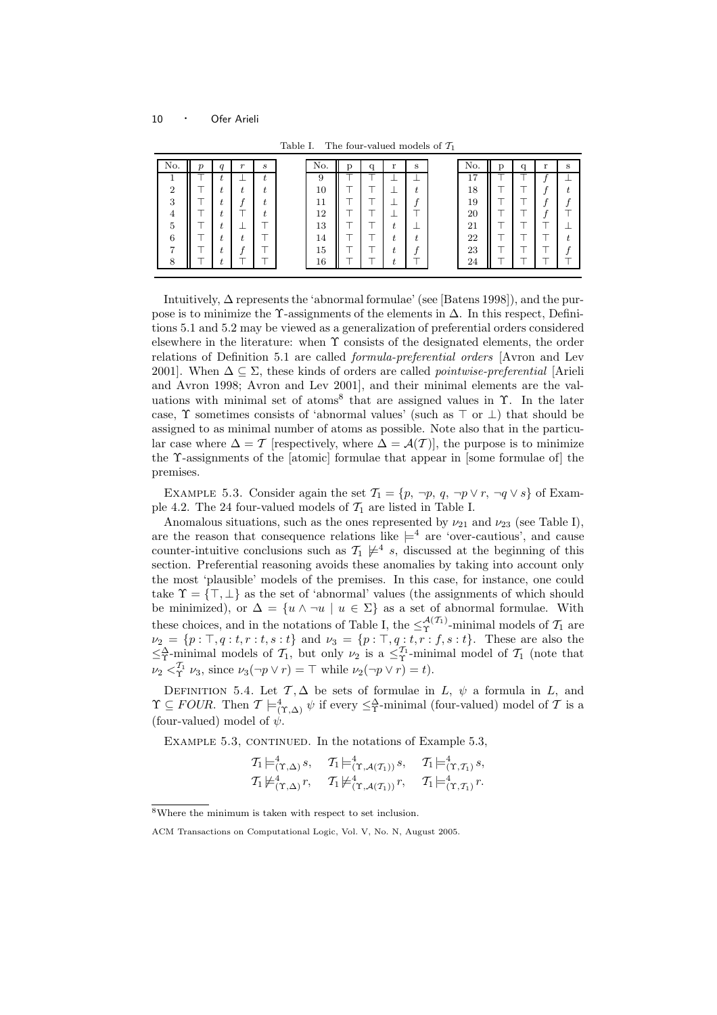| No.            | $\boldsymbol{\eta}$ | a  | $\mathbf{r}$ | S | No. | р | q | r  | S | No. | a | $\mathbf{v}$ | s |
|----------------|---------------------|----|--------------|---|-----|---|---|----|---|-----|---|--------------|---|
|                |                     | ι. |              |   | 9   |   |   |    |   | 17  |   |              |   |
| $\overline{2}$ |                     |    |              | , | 10  |   |   |    |   | 18  |   |              |   |
| 3              |                     |    |              | , | 11  |   |   |    |   | 19  |   |              |   |
| 4              |                     |    |              |   | 12  |   |   |    |   | 20  |   |              |   |
| 5              |                     |    |              |   | 13  |   |   | L  |   | 21  |   |              |   |
| 6              |                     |    |              |   | 14  |   |   | ι. |   | 22  |   |              |   |
| ∽              |                     |    |              |   | 15  |   |   |    |   | 23  |   |              |   |
| 8              |                     |    |              |   | 16  |   |   | ÷  |   | 24  |   |              |   |

Table I. The four-valued models of  $\mathcal{T}_1$ 

Intuitively, ∆ represents the 'abnormal formulae' (see [Batens 1998]), and the purpose is to minimize the  $\Upsilon$ -assignments of the elements in  $\Delta$ . In this respect, Definitions 5.1 and 5.2 may be viewed as a generalization of preferential orders considered elsewhere in the literature: when Υ consists of the designated elements, the order relations of Definition 5.1 are called formula-preferential orders [Avron and Lev 2001]. When  $\Delta \subseteq \Sigma$ , these kinds of orders are called *pointwise-preferential* [Arieli and Avron 1998; Avron and Lev 2001], and their minimal elements are the valuations with minimal set of atoms<sup>8</sup> that are assigned values in Υ. In the later case,  $\Upsilon$  sometimes consists of 'abnormal values' (such as  $\top$  or  $\bot$ ) that should be assigned to as minimal number of atoms as possible. Note also that in the particular case where  $\Delta = \mathcal{T}$  [respectively, where  $\Delta = \mathcal{A}(\mathcal{T})$ ], the purpose is to minimize the Υ-assignments of the [atomic] formulae that appear in [some formulae of] the premises.

EXAMPLE 5.3. Consider again the set  $\mathcal{T}_1 = \{p, \neg p, q, \neg p \lor r, \neg q \lor s\}$  of Example 4.2. The 24 four-valued models of  $\mathcal{T}_1$  are listed in Table I.

Anomalous situations, such as the ones represented by  $\nu_{21}$  and  $\nu_{23}$  (see Table I), are the reason that consequence relations like  $\models^4$  are 'over-cautious', and cause counter-intuitive conclusions such as  $\mathcal{T}_1 \not\models^4 s$ , discussed at the beginning of this section. Preferential reasoning avoids these anomalies by taking into account only the most 'plausible' models of the premises. In this case, for instance, one could take  $\Upsilon = \{\top, \bot\}$  as the set of 'abnormal' values (the assignments of which should be minimized), or  $\Delta = \{u \wedge \neg u \mid u \in \Sigma\}$  as a set of abnormal formulae. With these choices, and in the notations of Table I, the  $\leq^{\mathcal{A}(\mathcal{T}_1)}_{\Upsilon}$ -minimal models of  $\mathcal{T}_1$  are  $\nu_2 = \{p : \top, q : t, r : t, s : t\}$  and  $\nu_3 = \{p : \top, q : t, r : f, s : t\}.$  These are also the  $\leq^{\Delta}_{\Upsilon}$ -minimal models of  $\mathcal{T}_1$ , but only  $\nu_2$  is a  $\leq^{\mathcal{T}_1}_{\Upsilon}$ -minimal model of  $\mathcal{T}_1$  (note that  $\nu_2 <sub>\Upsilon_1</sub>$ </sub>  $\nu_3$ , since  $\nu_3(\neg p \lor r) = \top$  while  $\nu_2(\neg p \lor r) = t$ .

DEFINITION 5.4. Let  $\mathcal{T}, \Delta$  be sets of formulae in L,  $\psi$  a formula in L, and  $\Upsilon \subseteq \textit{FOUR}$ . Then  $\mathcal{T} \models^4_{(\Upsilon, \Delta)} \psi$  if every  $\leq^{\Delta}_{\Upsilon}$ -minimal (four-valued) model of  $\mathcal T$  is a (four-valued) model of  $\psi$ .

EXAMPLE  $5.3$ , CONTINUED. In the notations of Example  $5.3$ ,

$$
T_1 \models^4_{(\Upsilon, \Delta)} s, \quad T_1 \models^4_{(\Upsilon, \mathcal{A}(\mathcal{T}_1))} s, \quad T_1 \models^4_{(\Upsilon, \mathcal{T}_1)} s, T_1 \not\models^4_{(\Upsilon, \Delta)} r, \quad T_1 \not\models^4_{(\Upsilon, \mathcal{A}(\mathcal{T}_1))} r, \quad T_1 \models^4_{(\Upsilon, \mathcal{T}_1)} r.
$$

<sup>8</sup>Where the minimum is taken with respect to set inclusion.

ACM Transactions on Computational Logic, Vol. V, No. N, August 2005.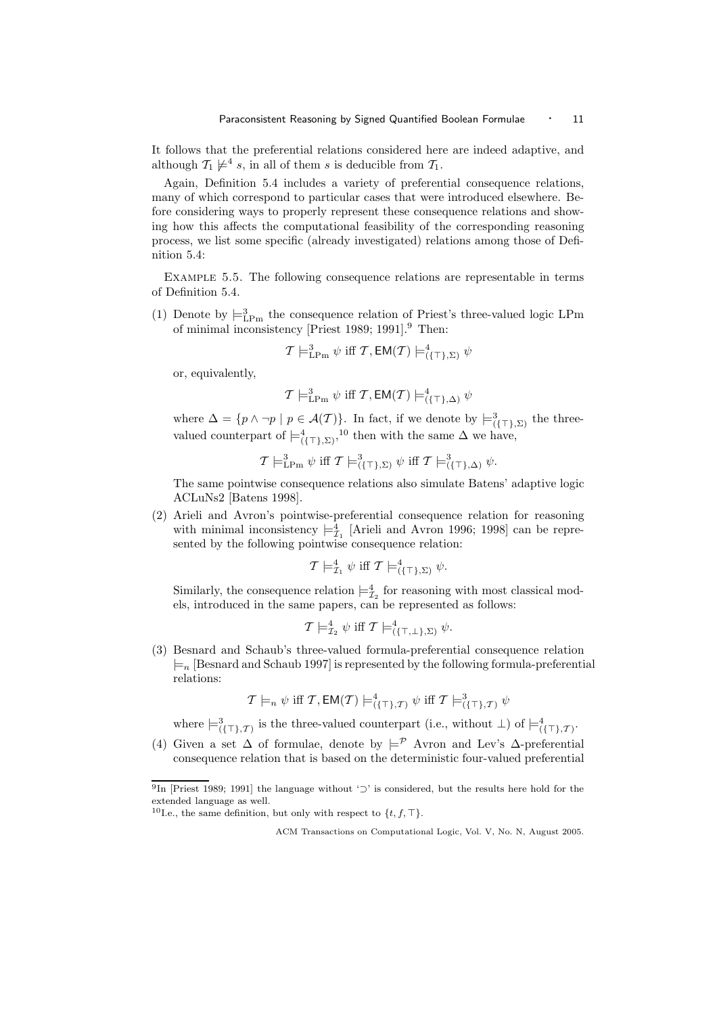It follows that the preferential relations considered here are indeed adaptive, and although  $\mathcal{T}_1 \not\models^4 s$ , in all of them s is deducible from  $\mathcal{T}_1$ .

Again, Definition 5.4 includes a variety of preferential consequence relations, many of which correspond to particular cases that were introduced elsewhere. Before considering ways to properly represent these consequence relations and showing how this affects the computational feasibility of the corresponding reasoning process, we list some specific (already investigated) relations among those of Definition 5.4:

Example 5.5. The following consequence relations are representable in terms of Definition 5.4.

(1) Denote by  $\models^3_{\text{LPm}}$  the consequence relation of Priest's three-valued logic LPm of minimal inconsistency [Priest 1989; 1991].<sup>9</sup> Then:

$$
\mathcal{T}\models^3_{\mathrm{LPm}} \psi \text{ iff }\mathcal{T},\mathsf{EM}(\mathcal{T})\models^4_{(\{\top\},\Sigma)} \psi
$$

or, equivalently,

$$
\mathcal{T} \models^3_{\text{LPm}} \psi \text{ iff } \mathcal{T}, \text{EM}(\mathcal{T}) \models^4_{(\{\top\}, \Delta)} \psi
$$

where  $\Delta = \{p \wedge \neg p \mid p \in \mathcal{A}(\mathcal{T})\}$ . In fact, if we denote by  $\models^3_{(\{\top\}, \Sigma)}$  the threevalued counterpart of  $\models^4_{(\{\top\}, \Sigma)}$ ,<sup>10</sup> then with the same  $\Delta$  we have,

$$
\mathcal{T}\models^3_{\mathrm{LPm}} \psi \text{ iff } \mathcal{T}\models^3_{(\{\top\},\Sigma)} \psi \text{ iff } \mathcal{T}\models^3_{(\{\top\},\Delta)} \psi.
$$

The same pointwise consequence relations also simulate Batens' adaptive logic ACLuNs2 [Batens 1998].

(2) Arieli and Avron's pointwise-preferential consequence relation for reasoning with minimal inconsistency  $\models_{\mathcal{I}_1}^4$  [Arieli and Avron 1996; 1998] can be represented by the following pointwise consequence relation:

$$
\mathcal{T} \models^4_{\mathcal{I}_1} \psi \text{ iff } \mathcal{T} \models^4_{(\{\top\}, \Sigma)} \psi.
$$

Similarly, the consequence relation  $\models_{\mathcal{I}_2}^4$  for reasoning with most classical models, introduced in the same papers, can be represented as follows:

$$
\mathcal{T} \models^4_{\mathcal{I}_2} \psi \text{ iff } \mathcal{T} \models^4_{(\{\top,\bot\},\Sigma)} \psi.
$$

(3) Besnard and Schaub's three-valued formula-preferential consequence relation  $\models n$  [Besnard and Schaub 1997] is represented by the following formula-preferential relations:

$$
\mathcal{T} \models_n \psi \text{ iff } \mathcal{T}, \mathsf{EM}(\mathcal{T}) \models^4_{(\{\top\}, \mathcal{T})} \psi \text{ iff } \mathcal{T} \models^3_{(\{\top\}, \mathcal{T})} \psi
$$

where  $\models^3_{(\{\top\},\mathcal{T})}$  is the three-valued counterpart (i.e., without  $\bot$ ) of  $\models^4_{(\{\top\},\mathcal{T})}$ .

(4) Given a set  $\Delta$  of formulae, denote by  $\models^{\mathcal{P}}$  Avron and Lev's  $\Delta$ -preferential consequence relation that is based on the deterministic four-valued preferential

<sup>&</sup>lt;sup>9</sup>In [Priest 1989; 1991] the language without '⊃' is considered, but the results here hold for the extended language as well.

<sup>&</sup>lt;sup>10</sup>I.e., the same definition, but only with respect to  $\{t, f, \top\}$ .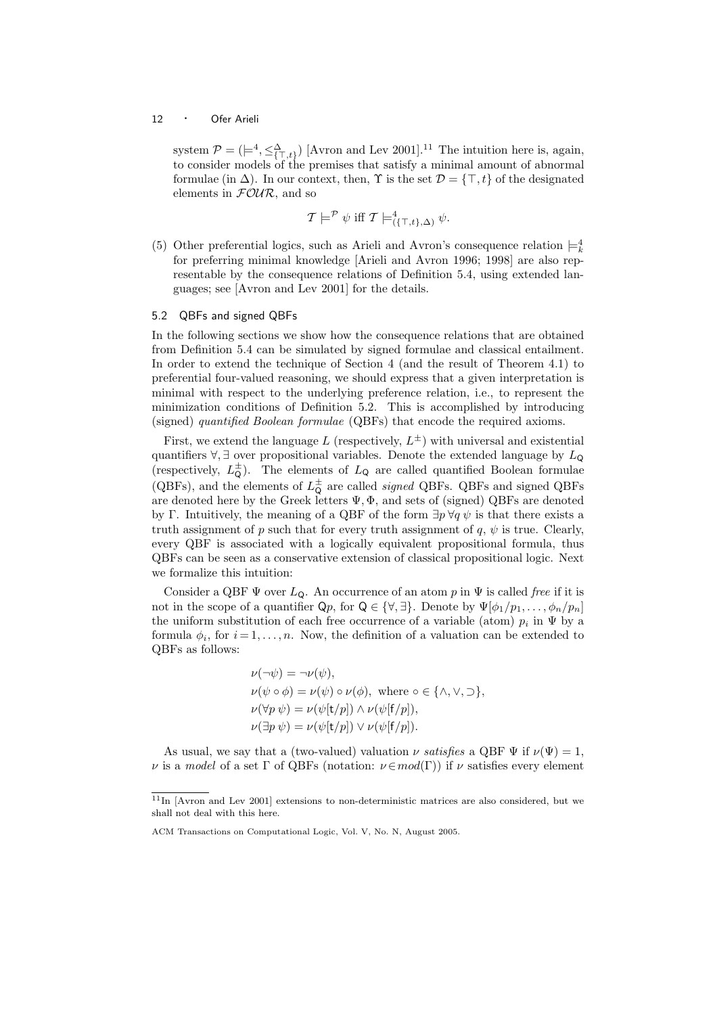system  $P = (\models^4, \leq^{\Delta}_{\{\top, t\}})$  [Avron and Lev 2001].<sup>11</sup> The intuition here is, again, to consider models of the premises that satisfy a minimal amount of abnormal formulae (in  $\Delta$ ). In our context, then,  $\Upsilon$  is the set  $\mathcal{D} = {\top, t}$  of the designated elements in  $F\mathcal{O}\mathcal{U}\mathcal{R}$ , and so

$$
\mathcal{T} \models^{\mathcal{P}} \psi \text{ iff } \mathcal{T} \models^4_{(\{\top, t\}, \Delta)} \psi.
$$

(5) Other preferential logics, such as Arieli and Avron's consequence relation  $\models_k^4$ for preferring minimal knowledge [Arieli and Avron 1996; 1998] are also representable by the consequence relations of Definition 5.4, using extended languages; see [Avron and Lev 2001] for the details.

#### 5.2 QBFs and signed QBFs

In the following sections we show how the consequence relations that are obtained from Definition 5.4 can be simulated by signed formulae and classical entailment. In order to extend the technique of Section 4 (and the result of Theorem 4.1) to preferential four-valued reasoning, we should express that a given interpretation is minimal with respect to the underlying preference relation, i.e., to represent the minimization conditions of Definition 5.2. This is accomplished by introducing (signed) quantified Boolean formulae (QBFs) that encode the required axioms.

First, we extend the language L (respectively,  $L^{\pm}$ ) with universal and existential quantifiers  $\forall$ ,  $\exists$  over propositional variables. Denote the extended language by  $L_{\mathsf{Q}}$ (respectively,  $L^{\pm}_{\mathbf{Q}}$ ). The elements of  $L_{\mathbf{Q}}$  are called quantified Boolean formulae (QBFs), and the elements of  $L^{\pm}_{\mathsf{Q}}$  are called *signed* QBFs. QBFs and signed QBFs are denoted here by the Greek letters  $\Psi, \Phi$ , and sets of (signed) QBFs are denoted by Γ. Intuitively, the meaning of a QBF of the form  $\exists p \forall q \psi$  is that there exists a truth assignment of p such that for every truth assignment of q,  $\psi$  is true. Clearly, every QBF is associated with a logically equivalent propositional formula, thus QBFs can be seen as a conservative extension of classical propositional logic. Next we formalize this intuition:

Consider a QBF  $\Psi$  over  $L_{\mathbf{Q}}$ . An occurrence of an atom p in  $\Psi$  is called free if it is not in the scope of a quantifier  $\mathsf{Q}p$ , for  $\mathsf{Q} \in \{\forall, \exists\}$ . Denote by  $\Psi[\phi_1/p_1, \ldots, \phi_n/p_n]$ the uniform substitution of each free occurrence of a variable (atom)  $p_i$  in  $\Psi$  by a formula  $\phi_i$ , for  $i = 1, \ldots, n$ . Now, the definition of a valuation can be extended to QBFs as follows:

$$
\nu(\neg\psi) = \neg\nu(\psi),\n\nu(\psi \circ \phi) = \nu(\psi) \circ \nu(\phi), \text{ where } \circ \in \{\land, \lor, \supset\},\n\nu(\forall p \psi) = \nu(\psi[t/p]) \land \nu(\psi[f/p]),\n\nu(\exists p \psi) = \nu(\psi[t/p]) \lor \nu(\psi[f/p]).
$$

As usual, we say that a (two-valued) valuation  $\nu$  satisfies a QBF  $\Psi$  if  $\nu(\Psi) = 1$ ,  $\nu$  is a model of a set Γ of QBFs (notation:  $\nu \in mod(\Gamma)$ ) if  $\nu$  satisfies every element

<sup>11</sup>In [Avron and Lev 2001] extensions to non-deterministic matrices are also considered, but we shall not deal with this here.

ACM Transactions on Computational Logic, Vol. V, No. N, August 2005.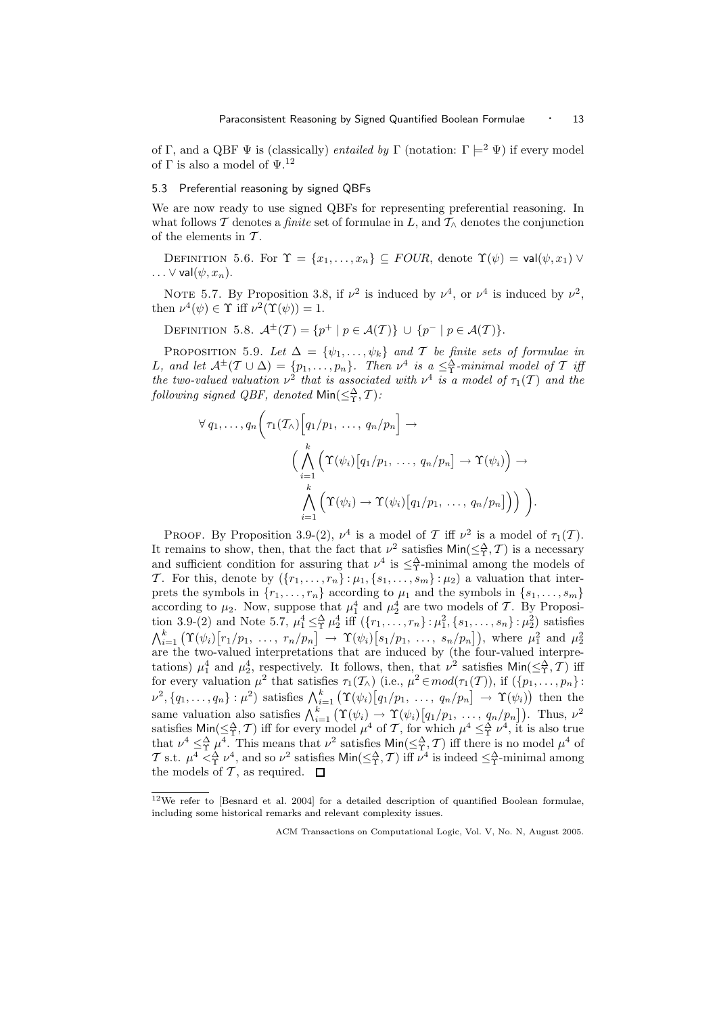of Γ, and a QBF  $\Psi$  is (classically) *entailed by* Γ (notation:  $\Gamma \models^2 \Psi$ ) if every model of  $\Gamma$  is also a model of  $\Psi.^{12}$ 

#### 5.3 Preferential reasoning by signed QBFs

We are now ready to use signed QBFs for representing preferential reasoning. In what follows T denotes a *finite* set of formulae in L, and  $T_\wedge$  denotes the conjunction of the elements in  $T$ .

DEFINITION 5.6. For  $\Upsilon = \{x_1, \ldots, x_n\} \subseteq \text{FOUR}$ , denote  $\Upsilon(\psi) = \text{val}(\psi, x_1) \vee$  $\ldots \vee \mathsf{val}(\psi, x_n).$ 

NOTE 5.7. By Proposition 3.8, if  $\nu^2$  is induced by  $\nu^4$ , or  $\nu^4$  is induced by  $\nu^2$ , then  $\nu^4(\psi) \in \Upsilon$  iff  $\nu^2(\Upsilon(\psi)) = 1$ .

DEFINITION 5.8.  $\mathcal{A}^{\pm}(T) = \{p^+ \mid p \in \mathcal{A}(T)\} \cup \{p^- \mid p \in \mathcal{A}(T)\}.$ 

PROPOSITION 5.9. Let  $\Delta = {\psi_1, \ldots, \psi_k}$  and  $\mathcal T$  be finite sets of formulae in L, and let  $\mathcal{A}^{\pm}(T \cup \Delta) = \{p_1, \ldots, p_n\}$ . Then  $\nu^4$  is  $a \leq^{\Delta}_{\Upsilon}$ -minimal model of  $T$  iff the two-valued valuation  $\nu^2$  that is associated with  $\nu^4$  is a model of  $\tau_1(\mathcal{T})$  and the following signed QBF, denoted  $\mathsf{Min}(\leq^{\Delta}_\Upsilon,\mathcal{T})$ :

$$
\forall q_1, \ldots, q_n \bigg( \tau_1(\mathcal{T}_\wedge) \Big[ q_1/p_1, \ldots, q_n/p_n \Big] \to
$$

$$
\Big( \bigwedge_{i=1}^k \Big( \Upsilon(\psi_i) \big[ q_1/p_1, \ldots, q_n/p_n \big] \to \Upsilon(\psi_i) \Big) \to
$$

$$
\bigwedge_{i=1}^k \Big( \Upsilon(\psi_i) \to \Upsilon(\psi_i) \big[ q_1/p_1, \ldots, q_n/p_n \big] \Big) \Big) \Big).
$$

PROOF. By Proposition 3.9-(2),  $\nu^4$  is a model of T iff  $\nu^2$  is a model of  $\tau_1(\mathcal{T})$ . It remains to show, then, that the fact that  $\nu^2$  satisfies  $\textsf{Min}(\leq^{\Delta}_{\Upsilon}, \mathcal{T})$  is a necessary and sufficient condition for assuring that  $\nu^4$  is  $\leq^{\Delta}_{\Upsilon}$ -minimal among the models of T. For this, denote by  $(\{r_1, \ldots, r_n\} : \mu_1, \{s_1, \ldots, s_m\} : \mu_2)$  a valuation that interprets the symbols in  $\{r_1, \ldots, r_n\}$  according to  $\mu_1$  and the symbols in  $\{s_1, \ldots, s_m\}$ according to  $\mu_2$ . Now, suppose that  $\mu_1^4$  and  $\mu_2^4$  are two models of T. By Proposition 3.9-(2) and Note 5.7,  $\mu_1^4 \leq^{\Delta}_{\Upsilon} \mu_2^4$  iff  $(\{r_1, \ldots, r_n\} : \mu_1^2, \{s_1, \ldots, s_n\} : \mu_2^2)$  satisfies  $\bigwedge_{i=1}^k \left( \Upsilon(\psi_i) \big[ r_1/p_1, \ldots, r_n/p_n \big] \to \Upsilon(\psi_i) \big[ s_1/p_1, \ldots, s_n/p_n \big] \right)$ , where  $\mu_1^2$  and  $\mu_2^2$  are the two-valued interpretations that are induced by (the four-valued interpretations)  $\mu_1^4$  and  $\mu_2^4$ , respectively. It follows, then, that  $\nu^2$  satisfies  $\textsf{Min}(\leq^{\Delta}_T, \mathcal{T})$  iff for every valuation  $\mu^2$  that satisfies  $\tau_1(\mathcal{T}_\wedge)$  (i.e.,  $\mu^2 \in mod(\tau_1(\mathcal{T}))$ ), if  $(\{p_1, \ldots, p_n\})$ :  $\nu^2, \{q_1, \ldots, q_n\} : \mu^2$  satisfies  $\bigwedge_{i=1}^k (\Upsilon(\psi_i)[q_1/p_1, \ldots, q_n/p_n] \to \Upsilon(\psi_i))$  then the same valuation also satisfies  $\bigwedge_{i=1}^k (\Upsilon(\psi_i) \to \Upsilon(\psi_i)[q_1/p_1, \ldots, q_n/p_n])$ . Thus,  $\nu^2$ satisfies  $\textsf{Min}(\leq^{\Delta}_{\Upsilon}, \mathcal{T})$  iff for every model  $\mu^4$  of  $\mathcal{T}$ , for which  $\mu^4 \leq^{\Delta}_{\Upsilon} \nu^4$ , it is also true that  $\nu^4 \leq^{\Delta}_{\Upsilon} \mu^4$ . This means that  $\nu^2$  satisfies  $\text{Min}(\leq^{\Delta}_{\Upsilon}, \mathcal{T})$  iff there is no model  $\mu^4$  of T s.t.  $\mu^4 <^{\Delta}_{\Upsilon} \nu^4$ , and so  $\nu^2$  satisfies  $\text{Min}(\leq^{\Delta}_{\Upsilon}, \mathcal{T})$  iff  $\nu^4$  is indeed  $\leq^{\Delta}_{\Upsilon}$ -minimal among the models of T, as required.  $\square$ 

<sup>12</sup>We refer to [Besnard et al. 2004] for a detailed description of quantified Boolean formulae, including some historical remarks and relevant complexity issues.

ACM Transactions on Computational Logic, Vol. V, No. N, August 2005.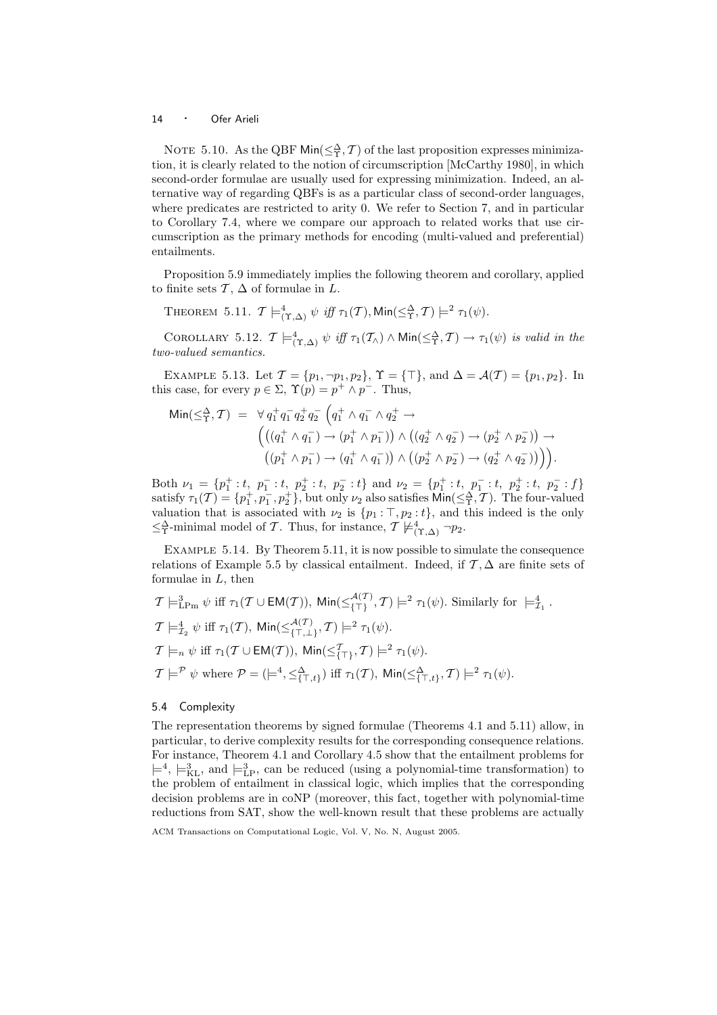NOTE 5.10. As the QBF  $\text{Min}(\leq^{\Delta}_{\Upsilon}, \mathcal{T})$  of the last proposition expresses minimization, it is clearly related to the notion of circumscription [McCarthy 1980], in which second-order formulae are usually used for expressing minimization. Indeed, an alternative way of regarding QBFs is as a particular class of second-order languages, where predicates are restricted to arity 0. We refer to Section 7, and in particular to Corollary 7.4, where we compare our approach to related works that use circumscription as the primary methods for encoding (multi-valued and preferential) entailments.

Proposition 5.9 immediately implies the following theorem and corollary, applied to finite sets  $\mathcal{T}, \Delta$  of formulae in L.

THEOREM 5.11.  $\mathcal{T} \models^4_{(\Upsilon, \Delta)} \psi \text{ iff } \tau_1(\mathcal{T}), \text{Min}(\leq^{\Delta}_{\Upsilon}, \mathcal{T}) \models^2 \tau_1(\psi).$ 

COROLLARY 5.12.  $\mathcal{T} \models^4_{(\Upsilon, \Delta)} \psi \text{ iff } \tau_1(\mathcal{T}_\wedge) \wedge \text{Min}(\leq^{\Delta}_{\Upsilon}, \mathcal{T}) \rightarrow \tau_1(\psi) \text{ is valid in the }$ two-valued semantics.

EXAMPLE 5.13. Let  $\mathcal{T} = \{p_1, \neg p_1, p_2\}$ ,  $\Upsilon = \{\top\}$ , and  $\Delta = \mathcal{A}(\mathcal{T}) = \{p_1, p_2\}$ . In this case, for every  $p \in \Sigma$ ,  $\Upsilon(p) = p^+ \wedge p^-$ . Thus,

$$
\begin{array}{ll}\n\text{Min}(\leq^{\Delta}_{\Upsilon}, \mathcal{T}) & = & \forall \, q_1^+ q_1^- q_2^+ q_2^- \left( q_1^+ \wedge q_1^- \wedge q_2^+ \to \right. \\
& \left( \left( (q_1^+ \wedge q_1^-) \to (p_1^+ \wedge p_1^-) \right) \wedge \left( (q_2^+ \wedge q_2^-) \to (p_2^+ \wedge p_2^-) \right) \to \right. \\
& \left( (p_1^+ \wedge p_1^-) \to (q_1^+ \wedge q_1^-) \right) \wedge \left( (p_2^+ \wedge p_2^-) \to (q_2^+ \wedge q_2^-) \right) \right).\n\end{array}
$$

Both  $\nu_1 = \{p_1^+ : t, p_1^- : t, p_2^+ : t, p_2^- : t\}$  and  $\nu_2 = \{p_1^+ : t, p_1^- : t, p_2^+ : t, p_2^- : f\}$ satisfy  $\tau_1(\mathcal{T}) = \{p_1^+, p_1^-, p_2^+\}$ , but only  $\nu_2$  also satisfies  $\text{Min}(\leq^{\Delta}_{\Upsilon}, \mathcal{T})$ . The four-valued valuation that is associated with  $\nu_2$  is  $\{p_1 : \top, p_2 : t\}$ , and this indeed is the only  $\leq^{\Delta}_{\Upsilon}$ -minimal model of T. Thus, for instance,  $\mathcal{T} \not\models^4_{(\Upsilon,\Delta)} \neg p_2$ .

Example 5.14. By Theorem 5.11, it is now possible to simulate the consequence relations of Example 5.5 by classical entailment. Indeed, if  $\mathcal{T}, \Delta$  are finite sets of formulae in  $L$ , then

.

$$
\mathcal{T} \models^3_{\text{LPm}} \psi \text{ iff } \tau_1(\mathcal{T} \cup \text{EM}(\mathcal{T})), \text{ Min}(\leq^{\mathcal{A}(\mathcal{T})}_{\{\top\}}, \mathcal{T}) \models^2 \tau_1(\psi). \text{ Similarly for } \models^4_{\mathcal{I}_1}
$$
\n
$$
\mathcal{T} \models^4_{\mathcal{I}_2} \psi \text{ iff } \tau_1(\mathcal{T}), \text{ Min}(\leq^{\mathcal{A}(\mathcal{T})}_{\{\top,\bot\}}, \mathcal{T}) \models^2 \tau_1(\psi).
$$
\n
$$
\mathcal{T} \models_n \psi \text{ iff } \tau_1(\mathcal{T} \cup \text{EM}(\mathcal{T})), \text{ Min}(\leq^{\mathcal{T}}_{\{\top\}}, \mathcal{T}) \models^2 \tau_1(\psi).
$$
\n
$$
\mathcal{T} \models^p \psi \text{ where } \mathcal{P} = (\models^4, \leq^{\Delta}_{\{\top, t\}}) \text{ iff } \tau_1(\mathcal{T}), \text{ Min}(\leq^{\Delta}_{\{\top, t\}}, \mathcal{T}) \models^2 \tau_1(\psi).
$$

#### 5.4 Complexity

The representation theorems by signed formulae (Theorems 4.1 and 5.11) allow, in particular, to derive complexity results for the corresponding consequence relations. For instance, Theorem 4.1 and Corollary 4.5 show that the entailment problems for  $\models^4$ ,  $\models^3_{\text{KL}}$ , and  $\models^3_{\text{LP}}$ , can be reduced (using a polynomial-time transformation) to the problem of entailment in classical logic, which implies that the corresponding decision problems are in coNP (moreover, this fact, together with polynomial-time reductions from SAT, show the well-known result that these problems are actually

ACM Transactions on Computational Logic, Vol. V, No. N, August 2005.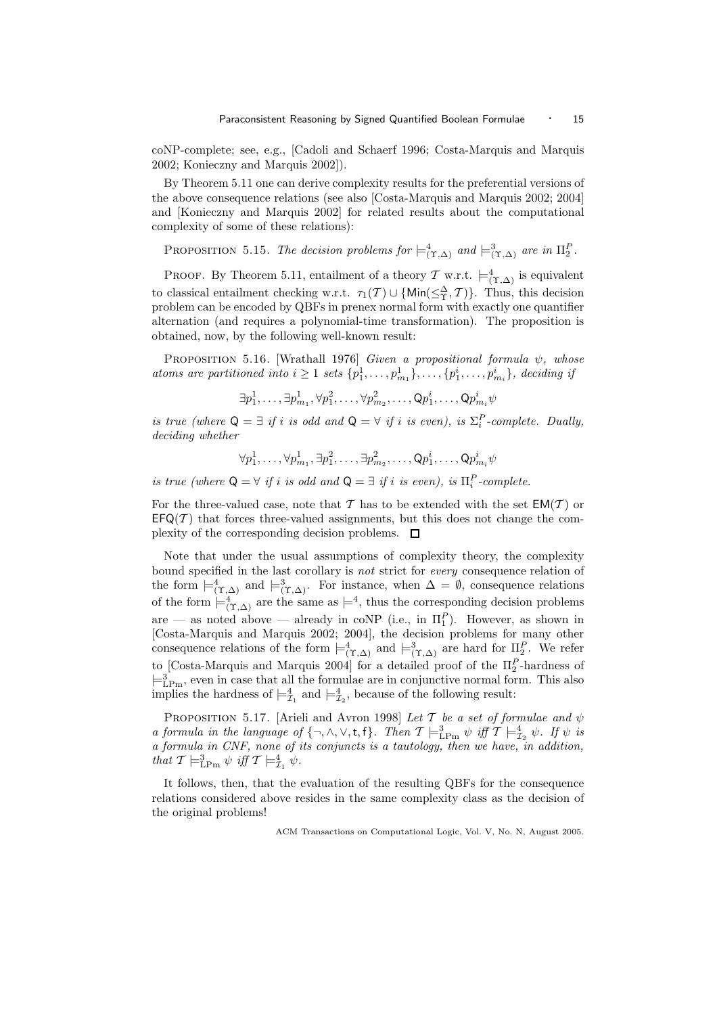coNP-complete; see, e.g., [Cadoli and Schaerf 1996; Costa-Marquis and Marquis 2002; Konieczny and Marquis 2002]).

By Theorem 5.11 one can derive complexity results for the preferential versions of the above consequence relations (see also [Costa-Marquis and Marquis 2002; 2004] and [Konieczny and Marquis 2002] for related results about the computational complexity of some of these relations):

PROPOSITION 5.15. The decision problems for  $\models^4_{(\Upsilon,\Delta)}$  and  $\models^3_{(\Upsilon,\Delta)}$  are in  $\Pi_2^P$ .

PROOF. By Theorem 5.11, entailment of a theory  $\mathcal T$  w.r.t.  $\models^4_{(\Upsilon,\Delta)}$  is equivalent to classical entailment checking w.r.t.  $\tau_1(\mathcal{T}) \cup \{ \text{Min}(\leq \frac{\Delta}{\Upsilon}, \mathcal{T}) \}$ . Thus, this decision problem can be encoded by QBFs in prenex normal form with exactly one quantifier alternation (and requires a polynomial-time transformation). The proposition is obtained, now, by the following well-known result:

PROPOSITION 5.16. [Wrathall 1976] Given a propositional formula  $\psi$ , whose atoms are partitioned into  $i \geq 1$  sets  $\{p_1^1, \ldots, p_{m_1}^1\}, \ldots, \{p_1^i, \ldots, p_{m_i}^i\},$  deciding if

 $\exists p^1_1,\ldots,\exists p^1_{m_1},\forall p^2_1,\ldots,\forall p^2_{m_2},\ldots,\mathsf{Q} p^i_1,\ldots,\mathsf{Q} p^i_{m_i}\psi$ 

is true (where  $Q = \exists$  if i is odd and  $Q = \forall$  if i is even), is  $\Sigma_i^P$ -complete. Dually, deciding whether

 $\forall p_1^1,\ldots,\forall p_{m_1}^1,\exists p_1^2,\ldots,\exists p_{m_2}^2,\ldots,\mathsf{Q} p_1^i,\ldots,\mathsf{Q} p_{m_i}^i\psi$ 

is true (where  $Q = \forall$  if i is odd and  $Q = \exists$  if i is even), is  $\Pi_i^P$ -complete.

For the three-valued case, note that T has to be extended with the set  $EM(T)$  or  $EFG(\mathcal{T})$  that forces three-valued assignments, but this does not change the complexity of the corresponding decision problems.  $\Box$ 

Note that under the usual assumptions of complexity theory, the complexity bound specified in the last corollary is not strict for every consequence relation of the form  $\models^4_{(\Upsilon,\Delta)}$  and  $\models^3_{(\Upsilon,\Delta)}$ . For instance, when  $\Delta = \emptyset$ , consequence relations of the form  $\models^4_{(\Upsilon,\Delta)}$  are the same as  $\models^4$ , thus the corresponding decision problems are — as noted above — already in coNP (i.e., in  $\Pi_1^P$ ). However, as shown in [Costa-Marquis and Marquis 2002; 2004], the decision problems for many other consequence relations of the form  $\models^4_{(\Upsilon,\Delta)}$  and  $\models^3_{(\Upsilon,\Delta)}$  are hard for  $\Pi_2^P$ . We refer to [Costa-Marquis and Marquis 2004] for a detailed proof of the  $\Pi_2^P$ -hardness of  $\models^3_{\text{LPm}}$ , even in case that all the formulae are in conjunctive normal form. This also implies the hardness of  $\models_{\mathcal{I}_1}^4$  and  $\models_{\mathcal{I}_2}^4$ , because of the following result:

PROPOSITION 5.17. [Arieli and Avron 1998] Let T be a set of formulae and  $\psi$ a formula in the language of  $\{\neg, \wedge, \vee, t, f\}$ . Then  $\mathcal{T} \models^3_{\text{LPm}} \psi$  iff  $\mathcal{T} \models^4_{\mathcal{I}_2} \psi$ . If  $\psi$  is a formula in CNF, none of its conjuncts is a tautology, then we have, in addition, that  $\mathcal{T} \models^3_{\text{LPm}} \psi \text{ iff } \mathcal{T} \models^4_{\mathcal{I}_1} \psi.$ 

It follows, then, that the evaluation of the resulting QBFs for the consequence relations considered above resides in the same complexity class as the decision of the original problems!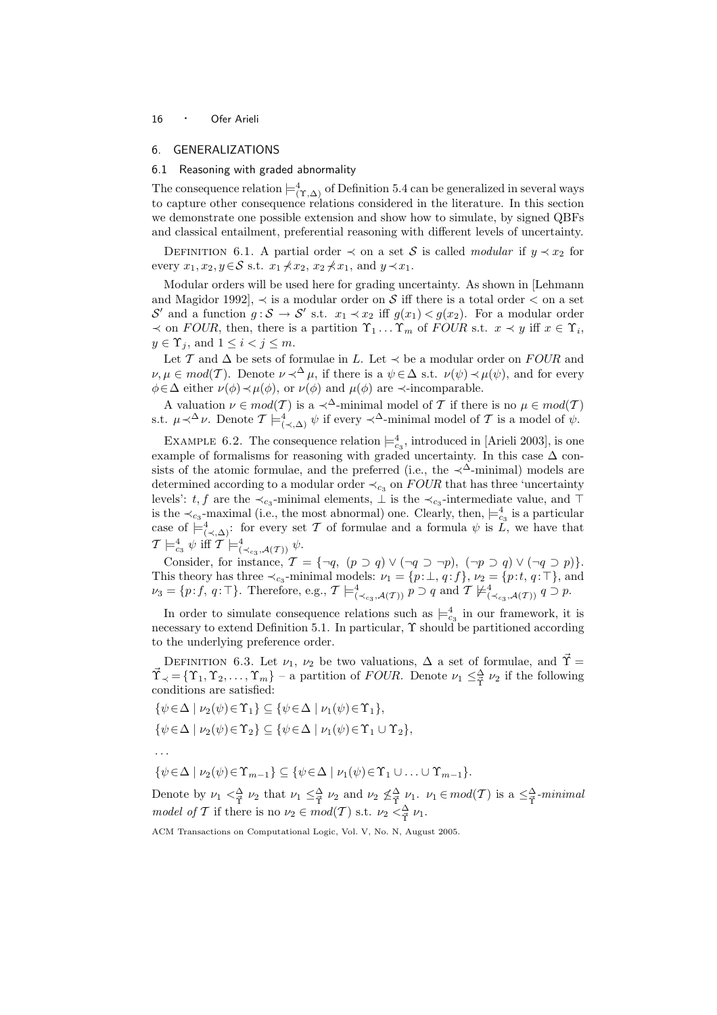## 6. GENERALIZATIONS

#### 6.1 Reasoning with graded abnormality

The consequence relation  $\models^4_{(\Upsilon,\Delta)}$  of Definition 5.4 can be generalized in several ways to capture other consequence relations considered in the literature. In this section we demonstrate one possible extension and show how to simulate, by signed QBFs and classical entailment, preferential reasoning with different levels of uncertainty.

DEFINITION 6.1. A partial order  $\prec$  on a set S is called modular if  $y \prec x_2$  for every  $x_1, x_2, y \in S$  s.t.  $x_1 \nless x_2, x_2 \nless x_1$ , and  $y \prec x_1$ .

Modular orders will be used here for grading uncertainty. As shown in [Lehmann and Magidor 1992],  $\prec$  is a modular order on S iff there is a total order  $\prec$  on a set S' and a function  $g: \mathcal{S} \to \mathcal{S}'$  s.t.  $x_1 \prec x_2$  iff  $g(x_1) < g(x_2)$ . For a modular order  $\prec$  on FOUR, then, there is a partition  $\Upsilon_1 \dots \Upsilon_m$  of FOUR s.t.  $x \prec y$  iff  $x \in \Upsilon_i$ ,  $y \in \Upsilon_i$ , and  $1 \leq i < j \leq m$ .

Let  $\mathcal T$  and  $\Delta$  be sets of formulae in L. Let  $\prec$  be a modular order on  $FOUR$  and  $\nu, \mu \in mod(\mathcal{T})$ . Denote  $\nu \prec^{\Delta} \mu$ , if there is a  $\psi \in \Delta$  s.t.  $\nu(\psi) \prec \mu(\psi)$ , and for every  $\phi \in \Delta$  either  $\nu(\phi) \prec \mu(\phi)$ , or  $\nu(\phi)$  and  $\mu(\phi)$  are  $\prec$ -incomparable.

A valuation  $\nu \in mod(T)$  is a  $\prec^{\Delta}$ -minimal model of T if there is no  $\mu \in mod(T)$ s.t.  $\mu \prec^{\Delta} \nu$ . Denote  $\mathcal{T} \models^4_{(\prec, \Delta)} \psi$  if every  $\prec^{\Delta}$ -minimal model of  $\mathcal T$  is a model of  $\psi$ .

EXAMPLE 6.2. The consequence relation  $\models_{c_3}^4$ , introduced in [Arieli 2003], is one example of formalisms for reasoning with graded uncertainty. In this case  $\Delta$  consists of the atomic formulae, and the preferred (i.e., the  $\prec^{\Delta}$ -minimal) models are determined according to a modular order  $\prec_{c_3}$  on  $FOUR$  that has three 'uncertainty levels':  $t, f$  are the  $\prec_{c_3}$ -minimal elements,  $\perp$  is the  $\prec_{c_3}$ -intermediate value, and  $\top$ is the  $\prec_{c_3}$ -maximal (i.e., the most abnormal) one. Clearly, then,  $\models_{c_3}^4$  is a particular case of  $\models^4_{(\prec,\Delta)}$ : for every set T of formulae and a formula  $\psi$  is  $\tilde{L}$ , we have that  $\mathcal{T}\models^4_{c_3}\psi \text{ iff }\mathcal{T}\models^4_{(\prec_{c_3},\mathcal{A}(\mathcal{T}))}\psi.$ 

Consider, for instance,  $\mathcal{T} = \{\neg q, (p \supset q) \vee (\neg q \supset \neg p), (\neg p \supset q) \vee (\neg q \supset p)\}.$ This theory has three  $\prec_{c_3}$ -minimal models:  $\nu_1 = \{p:\bot, q: f\}, \nu_2 = \{p:t, q: \top\},\$ and  $\nu_3 = \{p: f, q: \top\}.$  Therefore, e.g.,  $\mathcal{T} \models^4_{(\prec_{c_3}, \mathcal{A}(\mathcal{T}))} p \supset q$  and  $\mathcal{T} \not\models^4_{(\prec_{c_3}, \mathcal{A}(\mathcal{T}))} q \supset p$ .

In order to simulate consequence relations such as  $\models_{c_3}^4$  in our framework, it is necessary to extend Definition 5.1. In particular, Υ should be partitioned according to the underlying preference order.

DEFINITION 6.3. Let  $\nu_1, \nu_2$  be two valuations,  $\Delta$  a set of formulae, and  $\tilde{\Upsilon} =$  $\vec{\Upsilon}_{\prec} = \{\Upsilon_1, \Upsilon_2, \ldots, \Upsilon_m\}$  – a partition of *FOUR*. Denote  $\nu_1 \leq \frac{\Delta}{\Upsilon} \nu_2$  if the following conditions are satisfied:

$$
\{\psi \in \Delta \mid \nu_2(\psi) \in \Upsilon_1\} \subseteq \{\psi \in \Delta \mid \nu_1(\psi) \in \Upsilon_1\},\
$$
  

$$
\{\psi \in \Delta \mid \nu_2(\psi) \in \Upsilon_2\} \subseteq \{\psi \in \Delta \mid \nu_1(\psi) \in \Upsilon_1 \cup \Upsilon_2\},\
$$

. . .

 $\{\psi \in \Delta \mid \nu_2(\psi) \in \Upsilon_{m-1}\} \subseteq \{\psi \in \Delta \mid \nu_1(\psi) \in \Upsilon_1 \cup \ldots \cup \Upsilon_{m-1}\}.$ 

Denote by  $\nu_1  $\leq \frac{\Delta}{\Upsilon} \nu_2$  that  $\nu_1 \leq \frac{\Delta}{\Upsilon} \nu_2$  and  $\nu_2 \nleq \frac{\Delta}{\Upsilon} \nu_1$ .  $\nu_1 \in mod(\mathcal{T})$  is a  $\leq \frac{\Delta}{\Upsilon}$ -minimal$ model of T if there is no  $\nu_2 \in mod(T)$  s.t.  $\nu_2  $\leq \frac{\Delta}{\tilde{T}} \nu_1$ .$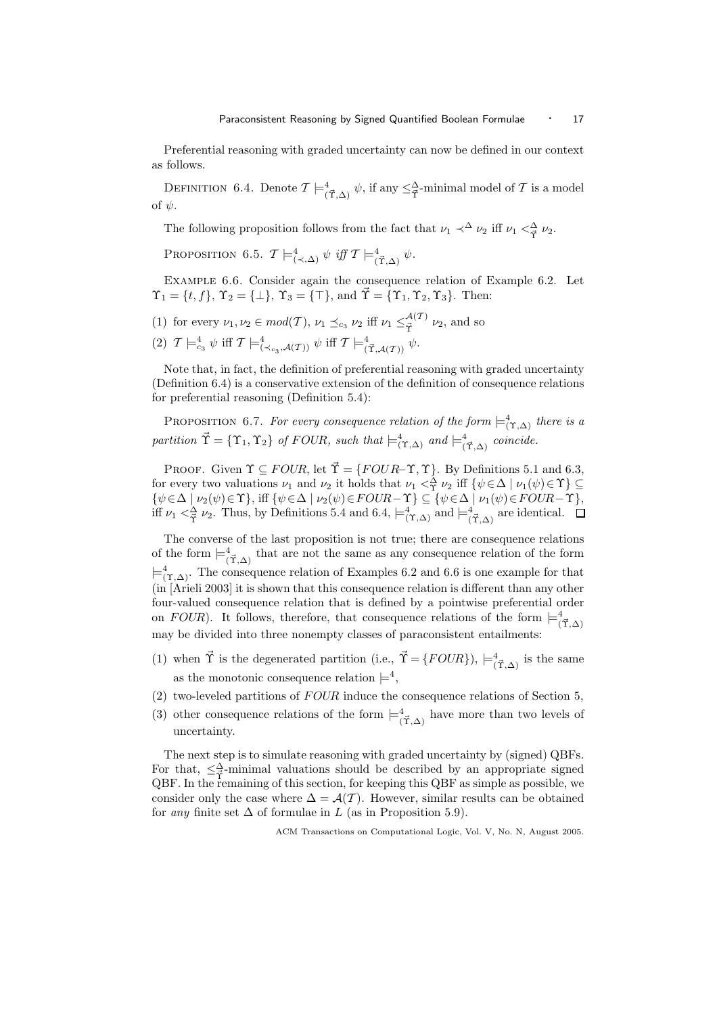Preferential reasoning with graded uncertainty can now be defined in our context as follows.

DEFINITION 6.4. Denote  $\mathcal{T} \models^4_{(\vec{\Upsilon}, \Delta)} \psi$ , if any  $\leq^{\Delta}_{\vec{\Upsilon}}$ -minimal model of  $\mathcal T$  is a model of  $\psi$ .

The following proposition follows from the fact that  $\nu_1 \prec^{\Delta} \nu_2$  iff  $\nu_1 \prec^{\Delta} \nu_2$ .

PROPOSITION 6.5.  $\mathcal{T} \models^4_{(\prec, \Delta)} \psi \text{ iff } \mathcal{T} \models^4_{(\vec{\Upsilon}, \Delta)} \psi$ .

Example 6.6. Consider again the consequence relation of Example 6.2. Let  $\Upsilon_1 = \{t, f\}, \Upsilon_2 = \{\perp\}, \Upsilon_3 = \{\top\}, \text{ and } \vec{\Upsilon} = \{\Upsilon_1, \Upsilon_2, \Upsilon_3\}.$  Then:

- (1) for every  $\nu_1, \nu_2 \in mod(T)$ ,  $\nu_1 \preceq_{c_3} \nu_2$  iff  $\nu_1 \leq^{\mathcal{A}(T)}_{\vec{\mathcal{P}}}$  $\mathcal{L}^{(1)}$   $\nu_2$ , and so
- (2)  $T \models_{c_3}^4 \psi \text{ iff } T \models_{(\prec_{c_3},\mathcal{A}(T))}^4 \psi \text{ iff } T \models_{(\vec{T},\mathcal{A}(T))}^4 \psi.$

Note that, in fact, the definition of preferential reasoning with graded uncertainty (Definition 6.4) is a conservative extension of the definition of consequence relations for preferential reasoning (Definition 5.4):

PROPOSITION 6.7. For every consequence relation of the form  $\models^4_{(\Upsilon,\Delta)}$  there is a partition  $\vec{\Upsilon} = {\Upsilon_1, \Upsilon_2}$  of FOUR, such that  $\models^4_{(\Upsilon, \Delta)}$  and  $\models^4_{(\vec{\Upsilon}, \Delta)}$  coincide.

PROOF. Given  $\Upsilon \subseteq FOUR$ , let  $\vec{\Upsilon} = \{FOUR - \Upsilon, \Upsilon\}$ . By Definitions 5.1 and 6.3, for every two valuations  $\nu_1$  and  $\nu_2$  it holds that  $\nu_1 <^{\Delta}_{\Upsilon} \nu_2$  iff  $\{\psi \in \Delta \mid \nu_1(\psi) \in \Upsilon\} \subseteq$  $\{\psi \in \Delta \mid \nu_2(\psi) \in \Upsilon\},\text{ iff } \{\psi \in \Delta \mid \nu_2(\psi) \in FOUR-\Upsilon\} \subseteq \{\psi \in \Delta \mid \nu_1(\psi) \in FOUR-\Upsilon\},\$ iff  $\nu_1 <^{\Delta}_{\vec{\Upsilon}} \nu_2$ . Thus, by Definitions 5.4 and 6.4,  $\models^4_{(\vec{\Upsilon}, \Delta)}$  and  $\models^4_{(\vec{\Upsilon}, \Delta)}$  are identical.

The converse of the last proposition is not true; there are consequence relations of the form  $\models^4_{(\vec{\Upsilon}, \Delta)}$  that are not the same as any consequence relation of the form  $\models^4_{(\Upsilon,\Delta)}$ . The consequence relation of Examples 6.2 and 6.6 is one example for that (in [Arieli 2003] it is shown that this consequence relation is different than any other four-valued consequence relation that is defined by a pointwise preferential order on FOUR). It follows, therefore, that consequence relations of the form  $\models^4_{(\vec{Y}, \Delta)}$ may be divided into three nonempty classes of paraconsistent entailments:

- (1) when  $\vec{\Upsilon}$  is the degenerated partition (i.e.,  $\vec{\Upsilon} = \{FOUR\}$ ),  $\models^4_{(\vec{\Upsilon}, \Delta)}$  is the same as the monotonic consequence relation  $\models^4$ ,
- (2) two-leveled partitions of FOUR induce the consequence relations of Section 5,
- (3) other consequence relations of the form  $\models^4_{(\vec{\Upsilon}, \Delta)}$  have more than two levels of uncertainty.

The next step is to simulate reasoning with graded uncertainty by (signed) QBFs. For that,  $\leq \frac{\Delta}{T}$ -minimal valuations should be described by an appropriate signed QBF. In the remaining of this section, for keeping this QBF as simple as possible, we consider only the case where  $\Delta = \mathcal{A}(\mathcal{T})$ . However, similar results can be obtained for *any* finite set  $\Delta$  of formulae in L (as in Proposition 5.9).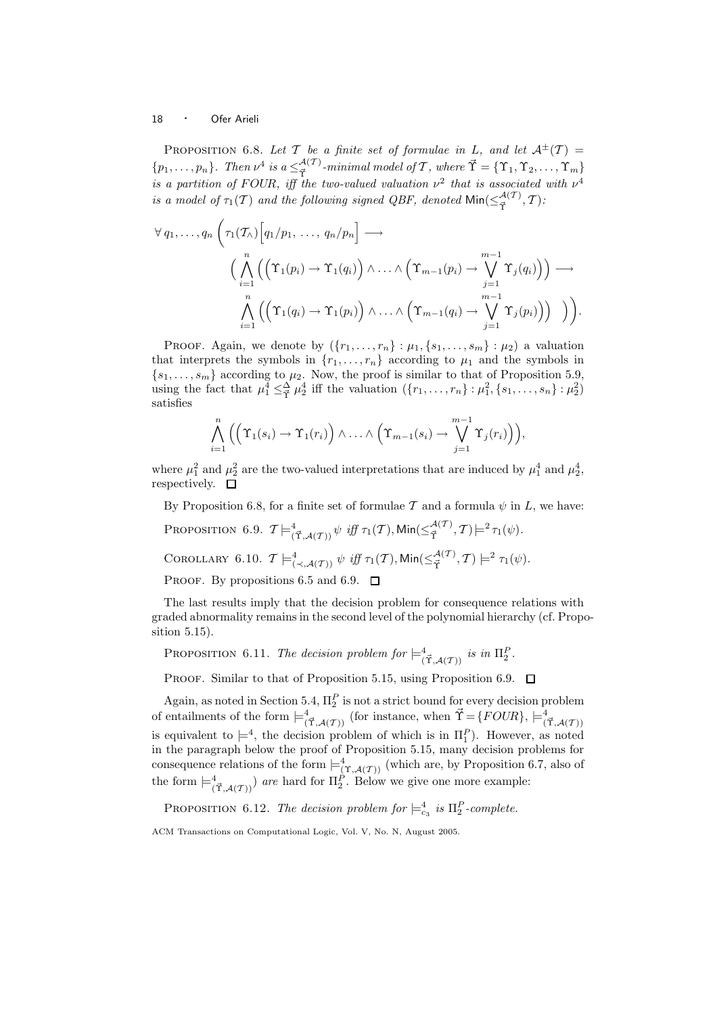PROPOSITION 6.8. Let T be a finite set of formulae in L, and let  $A^{\pm}(T) =$  $\{p_1,\ldots,p_n\}$ . Then  $\nu^4$  is  $a \leq_{\vec{\tau}}^{\mathcal{A}(\mathcal{T})}$  $\mathcal{A}^{(\mathcal{T})}_{\vec{\Upsilon}}$ -minimal model of  $\mathcal{T}$  , where  $\vec{\Upsilon} = \{\Upsilon_1, \Upsilon_2, \dots, \Upsilon_m\}$ is a partition of FOUR, iff the two-valued valuation  $\nu^2$  that is associated with  $\nu^4$ is a model of  $\tau_1(\mathcal{T})$  and the following signed QBF, denoted  $\mathsf{Min}(\leq^{\mathcal{A}(\mathcal{T})}_{\vec{\mathcal{T}}}$  $\frac{\pi^{(2)}}{\vec{\Upsilon}},\mathcal{T})$ :

$$
\forall q_1, \ldots, q_n \left( \tau_1(\mathcal{T}_\wedge) \left[ q_1/p_1, \ldots, q_n/p_n \right] \longrightarrow \left( \bigwedge_{i=1}^n \left( \left( \Upsilon_1(p_i) \to \Upsilon_1(q_i) \right) \wedge \ldots \wedge \left( \Upsilon_{m-1}(p_i) \to \bigvee_{j=1}^{m-1} \Upsilon_j(q_i) \right) \right) \longrightarrow \right)
$$
  

$$
\bigwedge_{i=1}^n \left( \left( \Upsilon_1(q_i) \to \Upsilon_1(p_i) \right) \wedge \ldots \wedge \left( \Upsilon_{m-1}(q_i) \to \bigvee_{j=1}^{m-1} \Upsilon_j(p_i) \right) \right) \right).
$$

PROOF. Again, we denote by  $({r_1, \ldots, r_n} : \mu_1, {s_1, \ldots, s_m} : \mu_2)$  a valuation that interprets the symbols in  $\{r_1, \ldots, r_n\}$  according to  $\mu_1$  and the symbols in  ${s_1, \ldots, s_m}$  according to  $\mu_2$ . Now, the proof is similar to that of Proposition 5.9, using the fact that  $\mu_1^4 \leq \frac{\Delta}{\tilde{r}} \mu_2^4$  iff the valuation  $({r_1, \ldots, r_n} : \mu_1^2, {s_1, \ldots, s_n} : \mu_2^2)$ satisfies

$$
\bigwedge_{i=1}^n \Big(\Big(\Upsilon_1(s_i)\to\Upsilon_1(r_i)\Big)\wedge\ldots\wedge\Big(\Upsilon_{m-1}(s_i)\to\bigvee_{j=1}^{m-1}\Upsilon_j(r_i)\Big)\Big),
$$

where  $\mu_1^2$  and  $\mu_2^2$  are the two-valued interpretations that are induced by  $\mu_1^4$  and  $\mu_2^4$ , respectively.  $\square$ 

By Proposition 6.8, for a finite set of formulae T and a formula  $\psi$  in L, we have:

- Proposition 6.9.  $\mathcal{T} \models^4_{(\vec{\Upsilon},\mathcal{A}(\mathcal{T}))} \psi \text{ iff } \tau_1(\mathcal{T}), \mathsf{Min}(\leq^{\mathcal{A}(\mathcal{T})}_{\vec{\Upsilon}})$  $\mathcal{F}^{A(1)}_{\vec{\Upsilon}},\mathcal{T})\models^2\tau_1(\psi).$
- COROLLARY 6.10.  $\mathcal{T} \models^4_{(\prec, \mathcal{A}(\mathcal{T}))} \psi \text{ iff } \tau_1(\mathcal{T}), \mathsf{Min}(\leq^{\mathcal{A}(\mathcal{T})}_{\vec{\Upsilon}})$  $\begin{aligned} \n\frac{\mathcal{A}(T)}{\vec{\Upsilon}}, \mathcal{T}) \models^2 \tau_1(\psi). \n\end{aligned}$

PROOF. By propositions 6.5 and 6.9.  $\Box$ 

The last results imply that the decision problem for consequence relations with graded abnormality remains in the second level of the polynomial hierarchy (cf. Proposition 5.15).

PROPOSITION 6.11. The decision problem for  $\models^4_{(\vec{T},\mathcal{A}(\mathcal{T}))}$  is in  $\Pi_2^P$ .

PROOF. Similar to that of Proposition 5.15, using Proposition 6.9.  $\Box$ 

Again, as noted in Section 5.4,  $\Pi_2^P$  is not a strict bound for every decision problem of entailments of the form  $\models^4_{(\vec{T},\mathcal{A}(\mathcal{T}))}$  (for instance, when  $\vec{T} = \{FOUR\}, \models^4_{(\vec{T},\mathcal{A}(\mathcal{T}))}$ is equivalent to  $\models^4$ , the decision problem of which is in  $\Pi_1^P$ ). However, as noted in the paragraph below the proof of Proposition 5.15, many decision problems for consequence relations of the form  $\models^4_{(\Upsilon,\mathcal{A}(\mathcal{T}))}$  (which are, by Proposition 6.7, also of the form  $\models^4_{(\vec{T},\mathcal{A}(\mathcal{T}))})$  are hard for  $\Pi_2^P$ . Below we give one more example:

PROPOSITION 6.12. The decision problem for  $\models^4_{c_3}$  is  $\Pi^P_2$ -complete.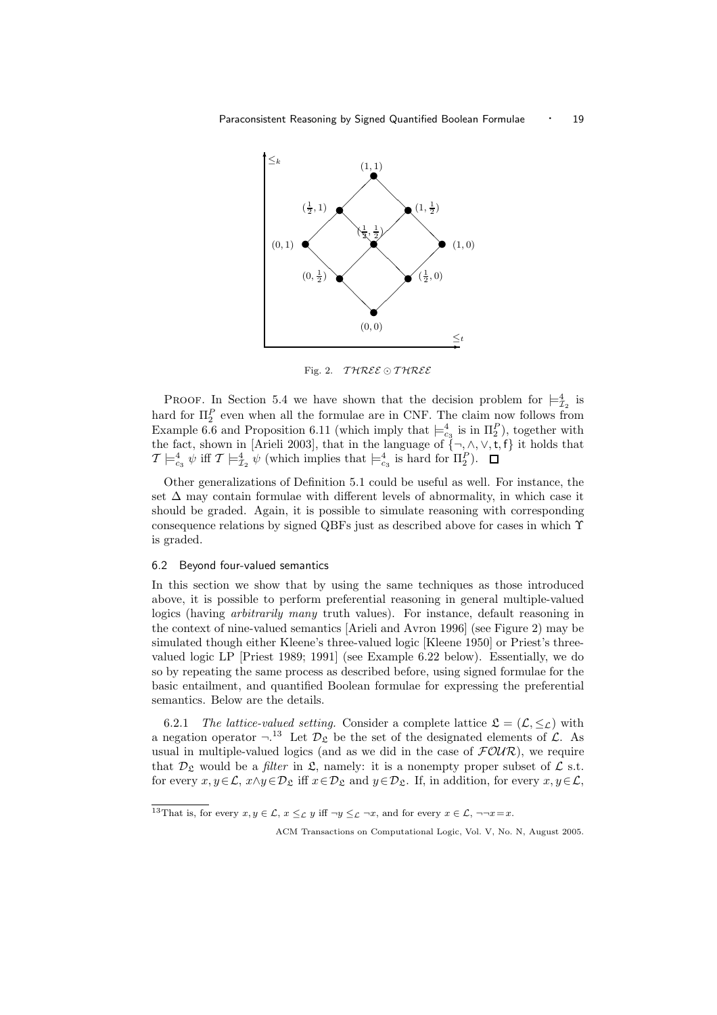

Fig. 2.  $TIMEE \odot TIMEE$ 

PROOF. In Section 5.4 we have shown that the decision problem for  $\models_{\mathcal{I}_2}^4$  is hard for  $\Pi_2^P$  even when all the formulae are in CNF. The claim now follows from Example 6.6 and Proposition 6.11 (which imply that  $\models_{c_3}^4$  is in  $\Pi_2^P$ ), together with the fact, shown in [Arieli 2003], that in the language of  $\{\neg, \wedge, \vee, t, f\}$  it holds that  $\mathcal{T} \models_{c_3}^4 \psi \text{ iff } \mathcal{T} \models_{\mathcal{I}_2}^4 \psi \text{ (which implies that } \models_{c_3}^4 \text{ is hard for } \Pi_2^P).$ 

Other generalizations of Definition 5.1 could be useful as well. For instance, the set  $\Delta$  may contain formulae with different levels of abnormality, in which case it should be graded. Again, it is possible to simulate reasoning with corresponding consequence relations by signed QBFs just as described above for cases in which Υ is graded.

#### 6.2 Beyond four-valued semantics

In this section we show that by using the same techniques as those introduced above, it is possible to perform preferential reasoning in general multiple-valued logics (having arbitrarily many truth values). For instance, default reasoning in the context of nine-valued semantics [Arieli and Avron 1996] (see Figure 2) may be simulated though either Kleene's three-valued logic [Kleene 1950] or Priest's threevalued logic LP [Priest 1989; 1991] (see Example 6.22 below). Essentially, we do so by repeating the same process as described before, using signed formulae for the basic entailment, and quantified Boolean formulae for expressing the preferential semantics. Below are the details.

6.2.1 The lattice-valued setting. Consider a complete lattice  $\mathfrak{L} = (\mathcal{L}, \leq_{\mathcal{L}})$  with a negation operator  $\neg$ .<sup>13</sup> Let  $\mathcal{D}_{\mathfrak{L}}$  be the set of the designated elements of  $\mathcal{L}$ . As usual in multiple-valued logics (and as we did in the case of  $FOWR$ ), we require that  $\mathcal{D}_{\mathcal{L}}$  would be a *filter* in  $\mathcal{L}$ , namely: it is a nonempty proper subset of  $\mathcal{L}$  s.t. for every  $x, y \in \mathcal{L}$ ,  $x \wedge y \in \mathcal{D}_{\mathfrak{L}}$  iff  $x \in \mathcal{D}_{\mathfrak{L}}$  and  $y \in \mathcal{D}_{\mathfrak{L}}$ . If, in addition, for every  $x, y \in \mathcal{L}$ ,

<sup>&</sup>lt;sup>13</sup>That is, for every  $x, y \in \mathcal{L}$ ,  $x \leq_{\mathcal{L}} y$  iff  $\neg y \leq_{\mathcal{L}} \neg x$ , and for every  $x \in \mathcal{L}$ ,  $\neg\neg x = x$ .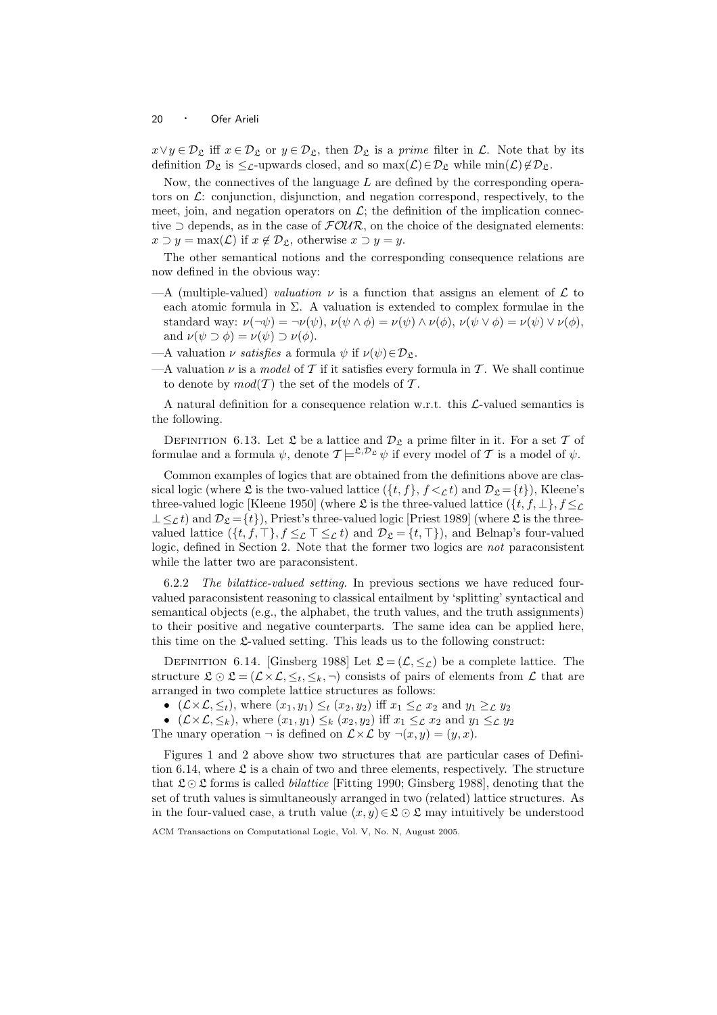$x \vee y \in \mathcal{D}_{\mathfrak{L}}$  iff  $x \in \mathcal{D}_{\mathfrak{L}}$  or  $y \in \mathcal{D}_{\mathfrak{L}}$ , then  $\mathcal{D}_{\mathfrak{L}}$  is a prime filter in  $\mathcal{L}$ . Note that by its definition  $\mathcal{D}_{\mathfrak{L}}$  is  $\leq_{\mathcal{L}}$ -upwards closed, and so max $(\mathcal{L})\in\mathcal{D}_{\mathfrak{L}}$  while min $(\mathcal{L})\notin\mathcal{D}_{\mathfrak{L}}$ .

Now, the connectives of the language  $L$  are defined by the corresponding operators on  $\mathcal{L}$ : conjunction, disjunction, and negation correspond, respectively, to the meet, join, and negation operators on  $\mathcal{L}$ ; the definition of the implication connective  $\supset$  depends, as in the case of  $\mathcal{FOUR}$ , on the choice of the designated elements:  $x \supset y = \max(\mathcal{L})$  if  $x \notin \mathcal{D}_{\mathcal{L}}$ , otherwise  $x \supset y = y$ .

The other semantical notions and the corresponding consequence relations are now defined in the obvious way:

- $-A$  (multiple-valued) valuation  $\nu$  is a function that assigns an element of  $\mathcal L$  to each atomic formula in  $\Sigma$ . A valuation is extended to complex formulae in the standard way:  $\nu(\neg \psi) = \neg \nu(\psi)$ ,  $\nu(\psi \land \phi) = \nu(\psi) \land \nu(\phi)$ ,  $\nu(\psi \lor \phi) = \nu(\psi) \lor \nu(\phi)$ , and  $\nu(\psi \supset \phi) = \nu(\psi) \supset \nu(\phi)$ .
- —A valuation  $\nu$  satisfies a formula  $\psi$  if  $\nu(\psi) \in \mathcal{D}_{\mathfrak{L}}$ .
- —A valuation  $\nu$  is a model of T if it satisfies every formula in T. We shall continue to denote by  $mod(T)$  the set of the models of T.

A natural definition for a consequence relation w.r.t. this L-valued semantics is the following.

DEFINITION 6.13. Let  $\mathfrak L$  be a lattice and  $\mathcal D_{\mathfrak L}$  a prime filter in it. For a set  $\mathcal T$  of formulae and a formula  $\psi$ , denote  $\mathcal{T} \models^{\mathfrak{L}, \mathcal{D}_{\mathfrak{L}}} \psi$  if every model of  $\mathcal T$  is a model of  $\psi$ .

Common examples of logics that are obtained from the definitions above are classical logic (where  $\mathfrak L$  is the two-valued lattice  $({t, f}, f, f <_{\mathcal L} t)$  and  $\mathcal{D}_{\mathfrak L} = {t}$ ), Kleene's three-valued logic [Kleene 1950] (where  $\mathfrak L$  is the three-valued lattice  $(\{t, f, \bot\}, f \leq \mathcal L)$  $\perp \leq_{\mathcal{L}} t$ ) and  $\mathcal{D}_{\mathcal{L}} = \{t\}$ ), Priest's three-valued logic [Priest 1989] (where  $\mathcal{L}$  is the threevalued lattice  $(\lbrace t, f, \top \rbrace, f \leq_{\mathcal{L}} \top \leq_{\mathcal{L}} t)$  and  $\mathcal{D}_{\mathcal{L}} = \lbrace t, \top \rbrace$ , and Belnap's four-valued logic, defined in Section 2. Note that the former two logics are not paraconsistent while the latter two are paraconsistent.

6.2.2 The bilattice-valued setting. In previous sections we have reduced fourvalued paraconsistent reasoning to classical entailment by 'splitting' syntactical and semantical objects (e.g., the alphabet, the truth values, and the truth assignments) to their positive and negative counterparts. The same idea can be applied here, this time on the  $\mathfrak L$ -valued setting. This leads us to the following construct:

DEFINITION 6.14. [Ginsberg 1988] Let  $\mathfrak{L} = (\mathcal{L}, \leq_{\mathcal{L}})$  be a complete lattice. The structure  $\mathfrak{L} \odot \mathfrak{L} = (\mathcal{L} \times \mathcal{L}, \leq_t, \leq_h, \neg)$  consists of pairs of elements from  $\mathcal{L}$  that are arranged in two complete lattice structures as follows:

•  $(\mathcal{L} \times \mathcal{L}, \leq_t)$ , where  $(x_1, y_1) \leq_t (x_2, y_2)$  iff  $x_1 \leq_t x_2$  and  $y_1 \geq_t y_2$ 

•  $(\mathcal{L} \times \mathcal{L}, \leq_k)$ , where  $(x_1, y_1) \leq_k (x_2, y_2)$  iff  $x_1 \leq_{\mathcal{L}} x_2$  and  $y_1 \leq_{\mathcal{L}} y_2$ 

The unary operation  $\neg$  is defined on  $\mathcal{L}\times\mathcal{L}$  by  $\neg(x,y)=(y,x)$ .

Figures 1 and 2 above show two structures that are particular cases of Definition 6.14, where  $\mathfrak L$  is a chain of two and three elements, respectively. The structure that  $\mathfrak{L} \odot \mathfrak{L}$  forms is called *bilattice* [Fitting 1990; Ginsberg 1988], denoting that the set of truth values is simultaneously arranged in two (related) lattice structures. As in the four-valued case, a truth value  $(x, y) \in \mathcal{L} \odot \mathcal{L}$  may intuitively be understood

ACM Transactions on Computational Logic, Vol. V, No. N, August 2005.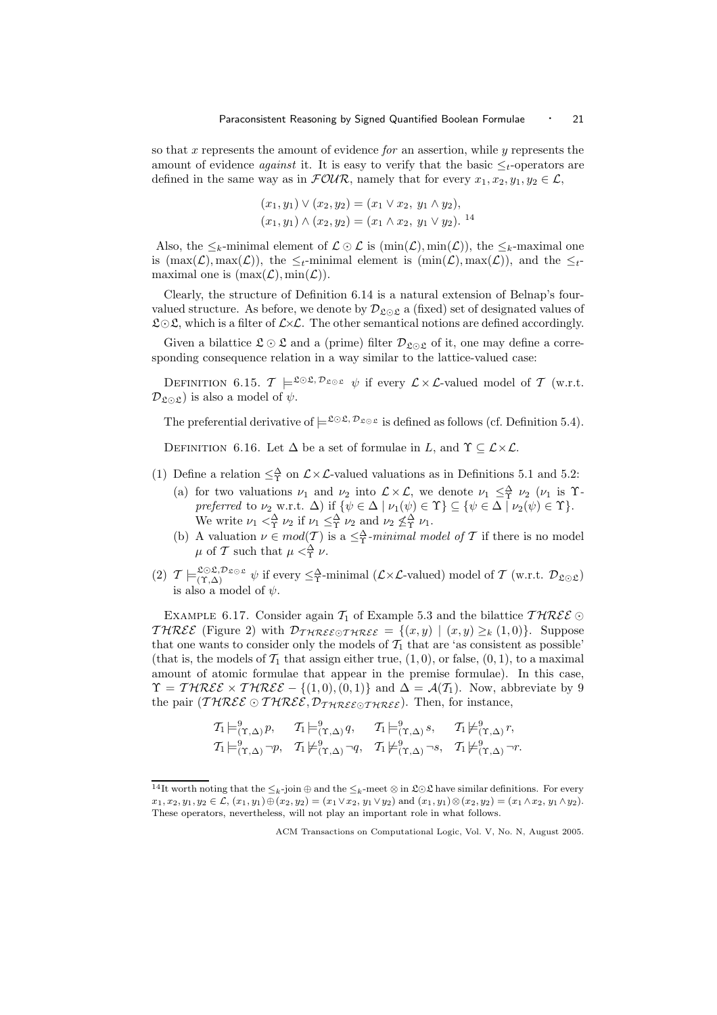so that  $x$  represents the amount of evidence  $for$  an assertion, while  $y$  represents the amount of evidence *against* it. It is easy to verify that the basic  $\leq_t$ -operators are defined in the same way as in  $\mathcal{FOUR}$ , namely that for every  $x_1, x_2, y_1, y_2 \in \mathcal{L}$ ,

$$
(x_1, y_1) \vee (x_2, y_2) = (x_1 \vee x_2, y_1 \wedge y_2),
$$
  

$$
(x_1, y_1) \wedge (x_2, y_2) = (x_1 \wedge x_2, y_1 \vee y_2).
$$
<sup>14</sup>

Also, the  $\leq_k$ -minimal element of  $\mathcal{L} \odot \mathcal{L}$  is  $(\min(\mathcal{L}), \min(\mathcal{L}))$ , the  $\leq_k$ -maximal one is  $(\max(\mathcal{L}), \max(\mathcal{L}))$ , the  $\leq_t$ -minimal element is  $(\min(\mathcal{L}), \max(\mathcal{L}))$ , and the  $\leq_t$ maximal one is  $(\max(\mathcal{L}), \min(\mathcal{L}))$ .

Clearly, the structure of Definition 6.14 is a natural extension of Belnap's fourvalued structure. As before, we denote by  $\mathcal{D}_{\mathcal{L}\odot\mathcal{L}}$  a (fixed) set of designated values of  $\mathcal{L} \odot \mathcal{L}$ , which is a filter of  $\mathcal{L} \times \mathcal{L}$ . The other semantical notions are defined accordingly.

Given a bilattice  $\mathfrak{L} \odot \mathfrak{L}$  and a (prime) filter  $\mathcal{D}_{\mathfrak{L} \odot \mathfrak{L}}$  of it, one may define a corresponding consequence relation in a way similar to the lattice-valued case:

DEFINITION 6.15.  $\mathcal{T} \models^{\mathfrak{L} \odot \mathfrak{L}, \mathcal{D}_{\mathfrak{L} \odot \mathfrak{L}}} \psi$  if every  $\mathcal{L} \times \mathcal{L}$ -valued model of  $\mathcal{T}$  (w.r.t.  $\mathcal{D}_{\mathfrak{L}\odot\mathfrak{L}}$ ) is also a model of  $\psi$ .

The preferential derivative of  $\models^{\mathfrak{L}\odot\mathfrak{L},\,\mathcal{D}_{\mathfrak{L}\odot\mathfrak{L}}}$  is defined as follows (cf. Definition 5.4).

DEFINITION 6.16. Let  $\Delta$  be a set of formulae in L, and  $\Upsilon \subseteq \mathcal{L} \times \mathcal{L}$ .

- (1) Define a relation  $\leq^{\Delta}_{\Upsilon}$  on  $\mathcal{L}\times\mathcal{L}$ -valued valuations as in Definitions 5.1 and 5.2:
	- (a) for two valuations  $\nu_1$  and  $\nu_2$  into  $\mathcal{L} \times \mathcal{L}$ , we denote  $\nu_1 \leq \frac{\Delta}{\Upsilon} \nu_2$  ( $\nu_1$  is  $\Upsilon$ preferred to  $\nu_2$  w.r.t.  $\Delta$ ) if  $\{\psi \in \Delta \mid \nu_1(\psi) \in \Upsilon\} \subseteq \{\psi \in \Delta \mid \nu_2(\psi) \in \Upsilon\}$ . We write  $\nu_1 <^{\Delta}_{\Upsilon} \nu_2$  if  $\nu_1 \leq^{\Delta}_{\Upsilon} \nu_2$  and  $\nu_2 \nleq^{\Delta}_{\Upsilon} \nu_1$ .
	- (b) A valuation  $\nu \in mod(T)$  is a  $\leq^{\Delta}_{T}$ -minimal model of T if there is no model  $\mu$  of T such that  $\mu < \frac{\Delta}{\Upsilon} \nu$ .
- (2)  $\mathcal{T} \models_{(\Upsilon,\Delta)}^{\mathcal{L} \odot \mathcal{L}, \mathcal{D}_{\mathcal{L} \odot \mathcal{L}}} \psi$  if every  $\leq_{\Upsilon}^{\Delta}$ -minimal  $(\mathcal{L} \times \mathcal{L}$ -valued) model of  $\mathcal{T}$  (w.r.t.  $\mathcal{D}_{\mathcal{L} \odot \mathcal{L}}$ ) is also a model of  $\psi$ .

EXAMPLE 6.17. Consider again  $\mathcal{T}_1$  of Example 5.3 and the bilattice  $\mathcal{THREE} \odot$ THREE (Figure 2) with  $\mathcal{D}_{\mathcal{IHREE}\odot\mathcal{IHREE}} = \{(x,y) \mid (x,y) \geq_k (1,0)\}.$  Suppose that one wants to consider only the models of  $\mathcal{T}_1$  that are 'as consistent as possible' (that is, the models of  $\mathcal{T}_1$  that assign either true,  $(1, 0)$ , or false,  $(0, 1)$ , to a maximal amount of atomic formulae that appear in the premise formulae). In this case,  $\Upsilon = \mathcal{THREE} \times \mathcal{THREE} - \{(1,0), (0,1)\}\$ and  $\Delta = \mathcal{A}(\mathcal{T}_1)$ . Now, abbreviate by 9 the pair (THREE ⊙ THREE,  $\mathcal{D}_{\mathcal{IHREE}\odot\mathcal{IHREE}}$ ). Then, for instance,

$$
\begin{array}{lll}\nT_1 \models^9_{(\Upsilon, \Delta)} p, & T_1 \models^9_{(\Upsilon, \Delta)} q, & T_1 \models^9_{(\Upsilon, \Delta)} s, & T_1 \not\models^9_{(\Upsilon, \Delta)} r, \\
T_1 \models^9_{(\Upsilon, \Delta)} \neg p, & T_1 \not\models^9_{(\Upsilon, \Delta)} \neg q, & T_1 \not\models^9_{(\Upsilon, \Delta)} \neg s, & T_1 \not\models^9_{(\Upsilon, \Delta)} \neg r.\n\end{array}
$$

<sup>&</sup>lt;sup>14</sup>It worth noting that the  $\leq_k$ -join ⊕ and the  $\leq_k$ -meet ⊗ in  $\mathfrak{L} \odot \mathfrak{L}$  have similar definitions. For every  $x_1, x_2, y_1, y_2 \in \mathcal{L}, (x_1, y_1) \oplus (x_2, y_2) = (x_1 \vee x_2, y_1 \vee y_2)$  and  $(x_1, y_1) \otimes (x_2, y_2) = (x_1 \wedge x_2, y_1 \wedge y_2).$ These operators, nevertheless, will not play an important role in what follows.

ACM Transactions on Computational Logic, Vol. V, No. N, August 2005.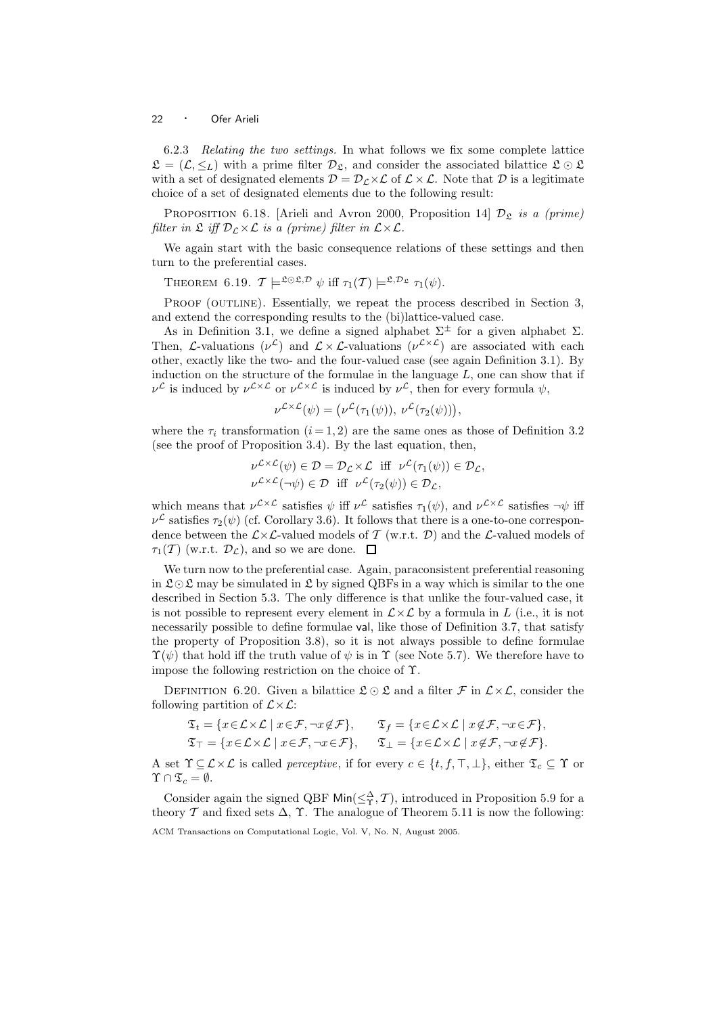6.2.3 Relating the two settings. In what follows we fix some complete lattice  $\mathfrak{L} = (\mathcal{L}, \leq_L)$  with a prime filter  $\mathcal{D}_{\mathfrak{L}}$ , and consider the associated bilattice  $\mathfrak{L} \odot \mathfrak{L}$ with a set of designated elements  $\mathcal{D} = \mathcal{D}_c \times \mathcal{L}$  of  $\mathcal{L} \times \mathcal{L}$ . Note that  $\mathcal{D}$  is a legitimate choice of a set of designated elements due to the following result:

PROPOSITION 6.18. [Arieli and Avron 2000, Proposition 14]  $\mathcal{D}_{\mathfrak{L}}$  is a (prime) filter in  $\mathfrak{L}$  iff  $\mathcal{D}_\mathcal{L}\times\mathcal{L}$  is a (prime) filter in  $\mathcal{L}\times\mathcal{L}$ .

We again start with the basic consequence relations of these settings and then turn to the preferential cases.

THEOREM 6.19.  $\mathcal{T} \models^{\mathfrak{L} \odot \mathfrak{L}, \mathcal{D}} \psi$  iff  $\tau_1(\mathcal{T}) \models^{\mathfrak{L}, \mathcal{D}_{\mathfrak{L}}} \tau_1(\psi)$ .

PROOF (OUTLINE). Essentially, we repeat the process described in Section 3, and extend the corresponding results to the (bi)lattice-valued case.

As in Definition 3.1, we define a signed alphabet  $\Sigma^{\pm}$  for a given alphabet  $\Sigma$ . Then, *L*-valuations ( $\nu^{\mathcal{L}}$ ) and  $\mathcal{L} \times \mathcal{L}$ -valuations ( $\nu^{\mathcal{L} \times \mathcal{L}}$ ) are associated with each other, exactly like the two- and the four-valued case (see again Definition 3.1). By induction on the structure of the formulae in the language  $L$ , one can show that if  $\nu^{\mathcal{L}}$  is induced by  $\nu^{\mathcal{L}\times\mathcal{L}}$  or  $\nu^{\mathcal{L}\times\mathcal{L}}$  is induced by  $\nu^{\mathcal{L}}$ , then for every formula  $\psi$ ,

$$
\nu^{\mathcal{L}\times\mathcal{L}}(\psi) = (\nu^{\mathcal{L}}(\tau_1(\psi)), \nu^{\mathcal{L}}(\tau_2(\psi))),
$$

where the  $\tau_i$  transformation  $(i = 1, 2)$  are the same ones as those of Definition 3.2 (see the proof of Proposition 3.4). By the last equation, then,

$$
\nu^{\mathcal{L}\times\mathcal{L}}(\psi) \in \mathcal{D} = \mathcal{D}_{\mathcal{L}} \times \mathcal{L} \text{ iff } \nu^{\mathcal{L}}(\tau_1(\psi)) \in \mathcal{D}_{\mathcal{L}},
$$
  

$$
\nu^{\mathcal{L}\times\mathcal{L}}(\neg\psi) \in \mathcal{D} \text{ iff } \nu^{\mathcal{L}}(\tau_2(\psi)) \in \mathcal{D}_{\mathcal{L}},
$$

which means that  $\nu^{\mathcal{L}\times\mathcal{L}}$  satisfies  $\psi$  iff  $\nu^{\mathcal{L}}$  satisfies  $\tau_1(\psi)$ , and  $\nu^{\mathcal{L}\times\mathcal{L}}$  satisfies  $\neg\psi$  iff  $\nu^{\mathcal{L}}$  satisfies  $\tau_2(\psi)$  (cf. Corollary 3.6). It follows that there is a one-to-one correspondence between the  $\mathcal{L}\times\mathcal{L}$ -valued models of T (w.r.t. D) and the  $\mathcal{L}$ -valued models of  $\tau_1(\mathcal{T})$  (w.r.t.  $\mathcal{D}_\mathcal{L}$ ), and so we are done.  $\Box$ 

We turn now to the preferential case. Again, paraconsistent preferential reasoning in  $\mathfrak{L} \odot \mathfrak{L}$  may be simulated in  $\mathfrak{L}$  by signed QBFs in a way which is similar to the one described in Section 5.3. The only difference is that unlike the four-valued case, it is not possible to represent every element in  $\mathcal{L}\times\mathcal{L}$  by a formula in L (i.e., it is not necessarily possible to define formulae val, like those of Definition 3.7, that satisfy the property of Proposition 3.8), so it is not always possible to define formulae  $\Upsilon(\psi)$  that hold iff the truth value of  $\psi$  is in  $\Upsilon$  (see Note 5.7). We therefore have to impose the following restriction on the choice of Υ.

DEFINITION 6.20. Given a bilattice  $\mathfrak{L} \odot \mathfrak{L}$  and a filter  $\mathcal{F}$  in  $\mathcal{L} \times \mathcal{L}$ , consider the following partition of  $\mathcal{L}\times\mathcal{L}$ :

$$
\mathfrak{T}_t = \{ x \in \mathcal{L} \times \mathcal{L} \mid x \in \mathcal{F}, \neg x \notin \mathcal{F} \}, \qquad \mathfrak{T}_f = \{ x \in \mathcal{L} \times \mathcal{L} \mid x \notin \mathcal{F}, \neg x \in \mathcal{F} \},
$$
\n
$$
\mathfrak{T}_{\top} = \{ x \in \mathcal{L} \times \mathcal{L} \mid x \in \mathcal{F}, \neg x \in \mathcal{F} \}, \qquad \mathfrak{T}_{\bot} = \{ x \in \mathcal{L} \times \mathcal{L} \mid x \notin \mathcal{F}, \neg x \notin \mathcal{F} \}.
$$

A set  $\Upsilon \subseteq \mathcal{L} \times \mathcal{L}$  is called *perceptive*, if for every  $c \in \{t, f, \top, \bot\}$ , either  $\mathfrak{T}_c \subseteq \Upsilon$  or  $\Upsilon \cap \mathfrak{T}_c = \emptyset.$ 

Consider again the signed QBF  $\text{Min}(\leq^{\Delta}_{\Upsilon}, \mathcal{T})$ , introduced in Proposition 5.9 for a theory  $\mathcal T$  and fixed sets  $\Delta$ ,  $\Upsilon$ . The analogue of Theorem 5.11 is now the following: ACM Transactions on Computational Logic, Vol. V, No. N, August 2005.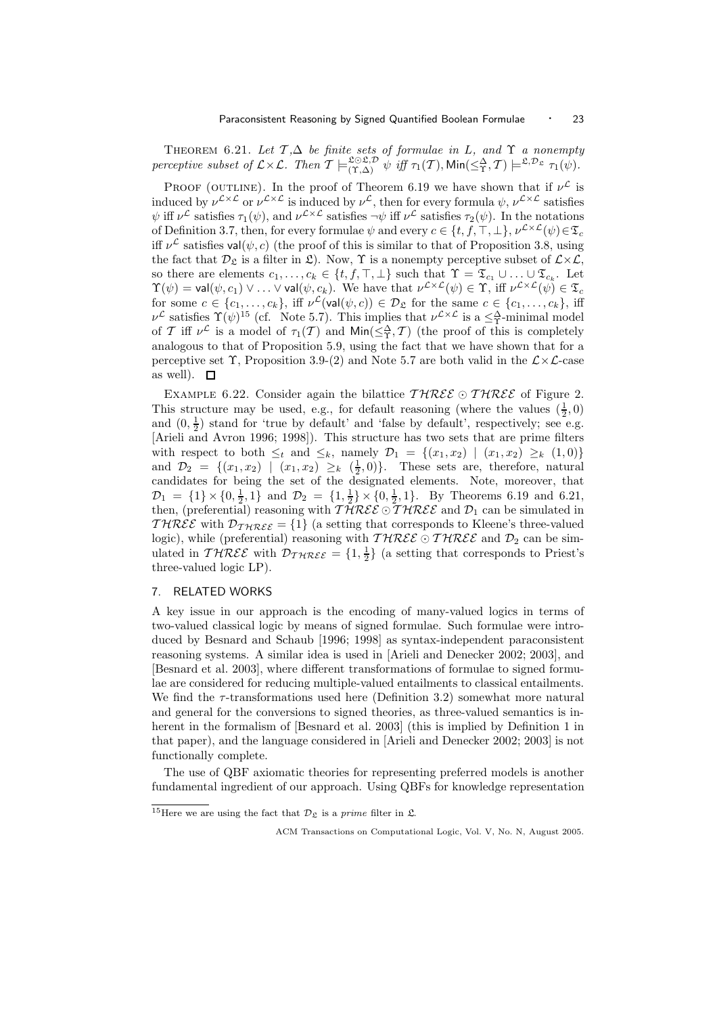THEOREM 6.21. Let  $\mathcal{T}, \Delta$  be finite sets of formulae in L, and  $\Upsilon$  a nonempty perceptive subset of  $\mathcal{L}\times\mathcal{L}$ . Then  $\mathcal{T}\models^{\mathfrak{LOL}, \mathcal{D}}_{(\Upsilon, \Delta)}\psi$  iff  $\tau_1(\mathcal{T})$ ,  $\mathsf{Min}(\leq^{\Delta}_{\Upsilon}, \mathcal{T})\models^{\mathfrak{L}, \mathcal{D}_{\mathfrak{L}}} \tau_1(\psi)$ .

PROOF (OUTLINE). In the proof of Theorem 6.19 we have shown that if  $\nu^{\mathcal{L}}$  is induced by  $\nu^{\mathcal{L}\times\mathcal{L}}$  or  $\nu^{\mathcal{L}\times\mathcal{L}}$  is induced by  $\nu^{\mathcal{L}}$ , then for every formula  $\psi, \nu^{\mathcal{L}\times\mathcal{L}}$  satisfies  $\psi$  iff  $\nu^{\mathcal{L}}$  satisfies  $\tau_1(\psi)$ , and  $\nu^{\mathcal{L}\times\mathcal{L}}$  satisfies  $\neg\psi$  iff  $\nu^{\mathcal{L}}$  satisfies  $\tau_2(\psi)$ . In the notations of Definition 3.7, then, for every formulae  $\psi$  and every  $c \in \{t, f, \top, \bot\}$ ,  $\nu^{\mathcal{L} \times \mathcal{L}}(\psi) \in \mathfrak{T}_c$ iff  $\nu^{\mathcal{L}}$  satisfies val $(\psi, c)$  (the proof of this is similar to that of Proposition 3.8, using the fact that  $\mathcal{D}_{\mathcal{S}}$  is a filter in  $\mathcal{L}$ ). Now,  $\Upsilon$  is a nonempty perceptive subset of  $\mathcal{L}\times\mathcal{L}$ , so there are elements  $c_1, \ldots, c_k \in \{t, f, \top, \bot\}$  such that  $\Upsilon = \mathfrak{T}_{c_1} \cup \ldots \cup \mathfrak{T}_{c_k}$ . Let  $\Upsilon(\psi) = \mathsf{val}(\psi,c_1) \vee \ldots \vee \mathsf{val}(\psi,c_k)$ . We have that  $\nu^{\mathcal{L} \times \mathcal{L}}(\psi) \in \Upsilon$ , iff  $\nu^{\mathcal{L} \times \mathcal{L}}(\psi) \in \mathfrak{T}_c$ for some  $c \in \{c_1,\ldots,c_k\}$ , iff  $\nu^{\mathcal{L}}(\textsf{val}(\psi,c)) \in \mathcal{D}_{\mathfrak{L}}$  for the same  $c \in \{c_1,\ldots,c_k\}$ , iff  $\nu^{\mathcal{L}}$  satisfies  $\Upsilon(\psi)^{15}$  (cf. Note 5.7). This implies that  $\nu^{\mathcal{L}\times\mathcal{L}}$  is a  $\leq^{\Delta}_{\Upsilon}$ -minimal model of T iff  $\nu^{\mathcal{L}}$  is a model of  $\tau_1(\mathcal{T})$  and  $\mathsf{Min}(\leq^{\Delta}_{\Upsilon}, \mathcal{T})$  (the proof of this is completely analogous to that of Proposition 5.9, using the fact that we have shown that for a perceptive set  $\Upsilon$ , Proposition 3.9-(2) and Note 5.7 are both valid in the  $\mathcal{L}\times\mathcal{L}\text{-case}$ as well).  $\square$ 

EXAMPLE 6.22. Consider again the bilattice  $THREE \odot THREE$  of Figure 2. This structure may be used, e.g., for default reasoning (where the values  $(\frac{1}{2},0)$ and  $(0, \frac{1}{2})$  stand for 'true by default' and 'false by default', respectively; see e.g. [Arieli and Avron 1996; 1998]). This structure has two sets that are prime filters with respect to both  $\leq_t$  and  $\leq_k$ , namely  $\mathcal{D}_1 = \{(x_1, x_2) \mid (x_1, x_2) \geq_k (1, 0)\}\$ and  $\mathcal{D}_2 = \{(x_1, x_2) \mid (x_1, x_2) \geq_k (\frac{1}{2}, 0)\}.$  These sets are, therefore, natural candidates for being the set of the designated elements. Note, moreover, that  $\mathcal{D}_1 = \{1\} \times \{0, \frac{1}{2}, 1\}$  and  $\mathcal{D}_2 = \{1, \frac{1}{2}\} \times \{0, \frac{1}{2}, 1\}$ . By Theorems 6.19 and 6.21, then, (preferential) reasoning with  $T\hat{H}R\mathcal{E}\hat{\mathcal{E}}$  of  $T\hat{H}R\mathcal{E}\hat{\mathcal{E}}$  and  $\mathcal{D}_1$  can be simulated in THREE with  $\mathcal{D}_{\mathcal{IHREE}} = \{1\}$  (a setting that corresponds to Kleene's three-valued logic), while (preferential) reasoning with  $\mathcal{THREE} \odot \mathcal{THREE}$  and  $\mathcal{D}_2$  can be simulated in  $\mathcal{THREE}$  with  $\mathcal{D}_{\mathcal{THREE}} = \{1, \frac{1}{2}\}\$  (a setting that corresponds to Priest's three-valued logic LP).

#### 7. RELATED WORKS

A key issue in our approach is the encoding of many-valued logics in terms of two-valued classical logic by means of signed formulae. Such formulae were introduced by Besnard and Schaub [1996; 1998] as syntax-independent paraconsistent reasoning systems. A similar idea is used in [Arieli and Denecker 2002; 2003], and [Besnard et al. 2003], where different transformations of formulae to signed formulae are considered for reducing multiple-valued entailments to classical entailments. We find the  $\tau$ -transformations used here (Definition 3.2) somewhat more natural and general for the conversions to signed theories, as three-valued semantics is inherent in the formalism of [Besnard et al. 2003] (this is implied by Definition 1 in that paper), and the language considered in [Arieli and Denecker 2002; 2003] is not functionally complete.

The use of QBF axiomatic theories for representing preferred models is another fundamental ingredient of our approach. Using QBFs for knowledge representation

<sup>&</sup>lt;sup>15</sup>Here we are using the fact that  $\mathcal{D}_{\mathfrak{L}}$  is a *prime* filter in  $\mathfrak{L}$ .

ACM Transactions on Computational Logic, Vol. V, No. N, August 2005.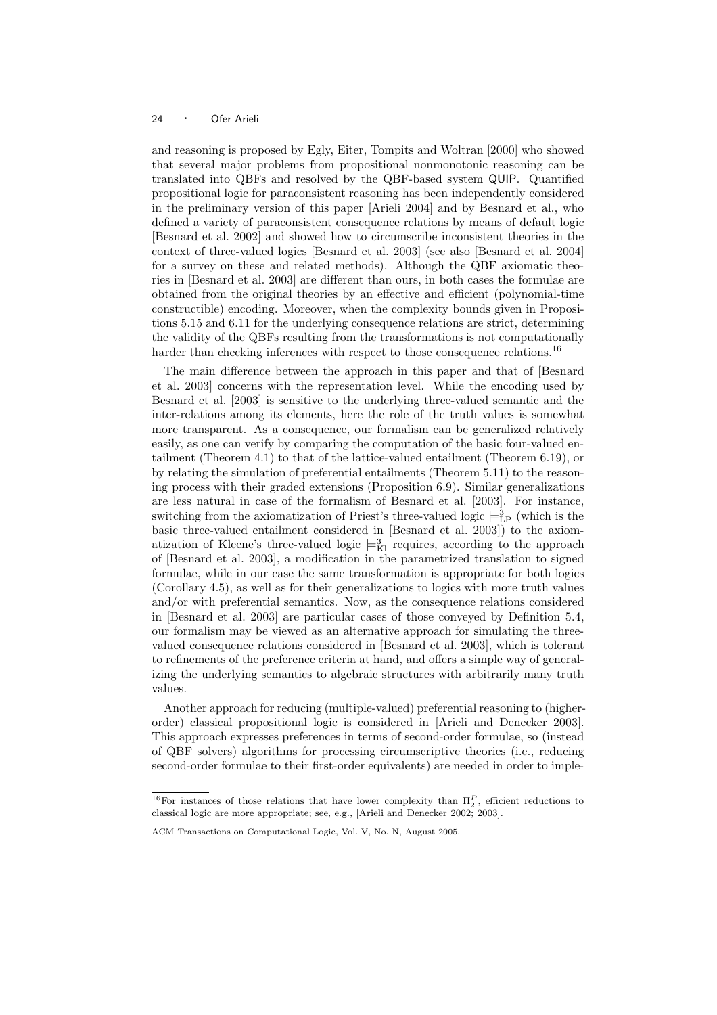and reasoning is proposed by Egly, Eiter, Tompits and Woltran [2000] who showed that several major problems from propositional nonmonotonic reasoning can be translated into QBFs and resolved by the QBF-based system QUIP. Quantified propositional logic for paraconsistent reasoning has been independently considered in the preliminary version of this paper [Arieli 2004] and by Besnard et al., who defined a variety of paraconsistent consequence relations by means of default logic [Besnard et al. 2002] and showed how to circumscribe inconsistent theories in the context of three-valued logics [Besnard et al. 2003] (see also [Besnard et al. 2004] for a survey on these and related methods). Although the QBF axiomatic theories in [Besnard et al. 2003] are different than ours, in both cases the formulae are obtained from the original theories by an effective and efficient (polynomial-time constructible) encoding. Moreover, when the complexity bounds given in Propositions 5.15 and 6.11 for the underlying consequence relations are strict, determining the validity of the QBFs resulting from the transformations is not computationally harder than checking inferences with respect to those consequence relations.<sup>16</sup>

The main difference between the approach in this paper and that of [Besnard et al. 2003] concerns with the representation level. While the encoding used by Besnard et al. [2003] is sensitive to the underlying three-valued semantic and the inter-relations among its elements, here the role of the truth values is somewhat more transparent. As a consequence, our formalism can be generalized relatively easily, as one can verify by comparing the computation of the basic four-valued entailment (Theorem 4.1) to that of the lattice-valued entailment (Theorem 6.19), or by relating the simulation of preferential entailments (Theorem 5.11) to the reasoning process with their graded extensions (Proposition 6.9). Similar generalizations are less natural in case of the formalism of Besnard et al. [2003]. For instance, switching from the axiomatization of Priest's three-valued logic  $\models_{\text{LP}}^3$  (which is the basic three-valued entailment considered in [Besnard et al. 2003]) to the axiomatization of Kleene's three-valued logic  $\models_{\text{Kl}}^3$  requires, according to the approach of [Besnard et al. 2003], a modification in the parametrized translation to signed formulae, while in our case the same transformation is appropriate for both logics (Corollary 4.5), as well as for their generalizations to logics with more truth values and/or with preferential semantics. Now, as the consequence relations considered in [Besnard et al. 2003] are particular cases of those conveyed by Definition 5.4, our formalism may be viewed as an alternative approach for simulating the threevalued consequence relations considered in [Besnard et al. 2003], which is tolerant to refinements of the preference criteria at hand, and offers a simple way of generalizing the underlying semantics to algebraic structures with arbitrarily many truth values.

Another approach for reducing (multiple-valued) preferential reasoning to (higherorder) classical propositional logic is considered in [Arieli and Denecker 2003]. This approach expresses preferences in terms of second-order formulae, so (instead of QBF solvers) algorithms for processing circumscriptive theories (i.e., reducing second-order formulae to their first-order equivalents) are needed in order to imple-

<sup>&</sup>lt;sup>16</sup>For instances of those relations that have lower complexity than  $\Pi_2^P$ , efficient reductions to classical logic are more appropriate; see, e.g., [Arieli and Denecker 2002; 2003].

ACM Transactions on Computational Logic, Vol. V, No. N, August 2005.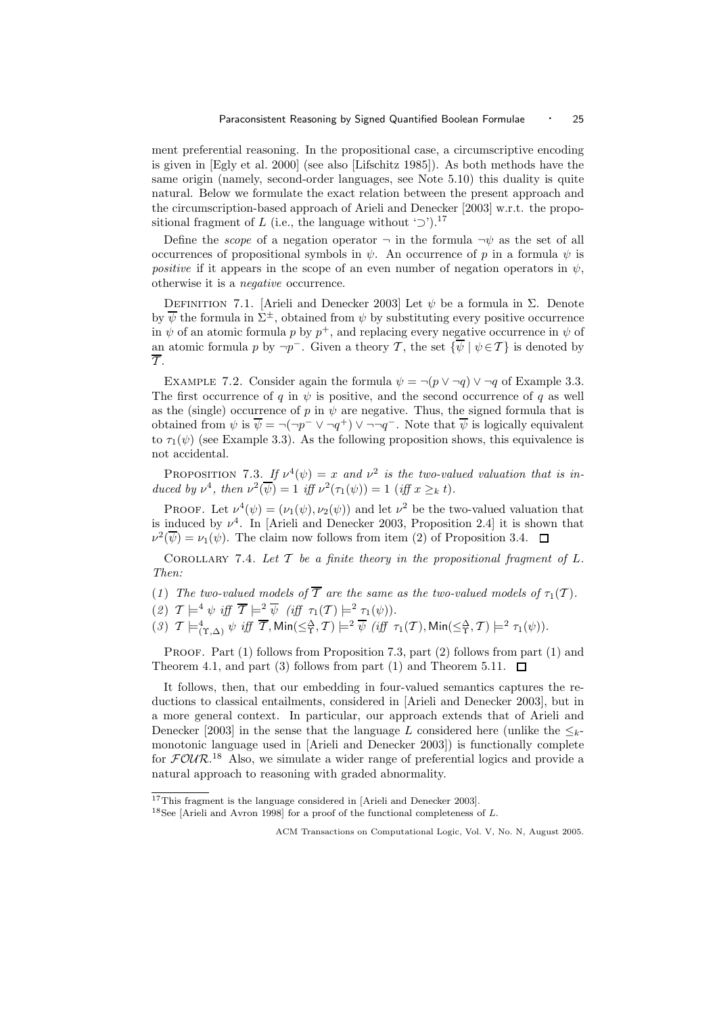ment preferential reasoning. In the propositional case, a circumscriptive encoding is given in [Egly et al. 2000] (see also [Lifschitz 1985]). As both methods have the same origin (namely, second-order languages, see Note 5.10) this duality is quite natural. Below we formulate the exact relation between the present approach and the circumscription-based approach of Arieli and Denecker [2003] w.r.t. the propositional fragment of L (i.e., the language without ' $\supset$ ').<sup>17</sup>

Define the *scope* of a negation operator  $\neg$  in the formula  $\neg \psi$  as the set of all occurrences of propositional symbols in  $\psi$ . An occurrence of p in a formula  $\psi$  is positive if it appears in the scope of an even number of negation operators in  $\psi$ , otherwise it is a negative occurrence.

DEFINITION 7.1. [Arieli and Denecker 2003] Let  $\psi$  be a formula in Σ. Denote by  $\overline{\psi}$  the formula in  $\Sigma^{\pm}$ , obtained from  $\psi$  by substituting every positive occurrence in  $\psi$  of an atomic formula p by  $p^+$ , and replacing every negative occurrence in  $\psi$  of an atomic formula p by  $\neg p^-$ . Given a theory T, the set  $\{\overline{\psi} \mid \psi \in \mathcal{T}\}$  is denoted by  $\overline{\mathcal{T}}$ .

EXAMPLE 7.2. Consider again the formula  $\psi = \neg(p \lor \neg q) \lor \neg q$  of Example 3.3. The first occurrence of q in  $\psi$  is positive, and the second occurrence of q as well as the (single) occurrence of p in  $\psi$  are negative. Thus, the signed formula that is obtained from  $\psi$  is  $\overline{\psi} = \neg(\neg p^- \vee \neg q^+) \vee \neg \neg q^-$ . Note that  $\overline{\psi}$  is logically equivalent to  $\tau_1(\psi)$  (see Example 3.3). As the following proposition shows, this equivalence is not accidental.

**PROPOSITION** 7.3. If  $\nu^4(\psi) = x$  and  $\nu^2$  is the two-valued valuation that is induced by  $\nu^4$ , then  $\nu^2(\overline{\psi}) = 1$  iff  $\nu^2(\tau_1(\psi)) = 1$  (iff  $x \geq_k t$ ).

PROOF. Let  $\nu^4(\psi) = (\nu_1(\psi), \nu_2(\psi))$  and let  $\nu^2$  be the two-valued valuation that is induced by  $\nu^4$ . In [Arieli and Denecker 2003, Proposition 2.4] it is shown that  $\nu^2(\overline{\psi}) = \nu_1(\psi)$ . The claim now follows from item (2) of Proposition 3.4.

COROLLARY 7.4. Let  $T$  be a finite theory in the propositional fragment of  $L$ . Then:

(1) The two-valued models of  $\overline{T}$  are the same as the two-valued models of  $\tau_1(\mathcal{T})$ .

(2)  $T \models^4 \psi \text{ iff } \overline{T} \models^2 \overline{\psi} \text{ (iff } \tau_1(T) \models^2 \tau_1(\psi)).$ 

 $(3)$   $\mathcal{T} \models^4_{(\Upsilon, \Delta)} \psi \text{ iff } \overline{\mathcal{T}}, \textsf{Min}(\leq^{\Delta}_{\Upsilon}, \mathcal{T}) \models^2 \overline{\psi} \text{ (iff } \tau_1(\mathcal{T}), \textsf{Min}(\leq^{\Delta}_{\Upsilon}, \mathcal{T}) \models^2 \tau_1(\psi)).$ 

PROOF. Part (1) follows from Proposition 7.3, part (2) follows from part (1) and Theorem 4.1, and part (3) follows from part (1) and Theorem 5.11.  $\Box$ 

It follows, then, that our embedding in four-valued semantics captures the reductions to classical entailments, considered in [Arieli and Denecker 2003], but in a more general context. In particular, our approach extends that of Arieli and Denecker [2003] in the sense that the language L considered here (unlike the  $\leq_k$ monotonic language used in [Arieli and Denecker 2003]) is functionally complete for  $\mathcal{F} \mathcal{O} \mathcal{U} \mathcal{R}$ <sup>18</sup> Also, we simulate a wider range of preferential logics and provide a natural approach to reasoning with graded abnormality.

<sup>&</sup>lt;sup>17</sup>This fragment is the language considered in [Arieli and Denecker 2003].

<sup>&</sup>lt;sup>18</sup>See [Arieli and Avron 1998] for a proof of the functional completeness of L.

ACM Transactions on Computational Logic, Vol. V, No. N, August 2005.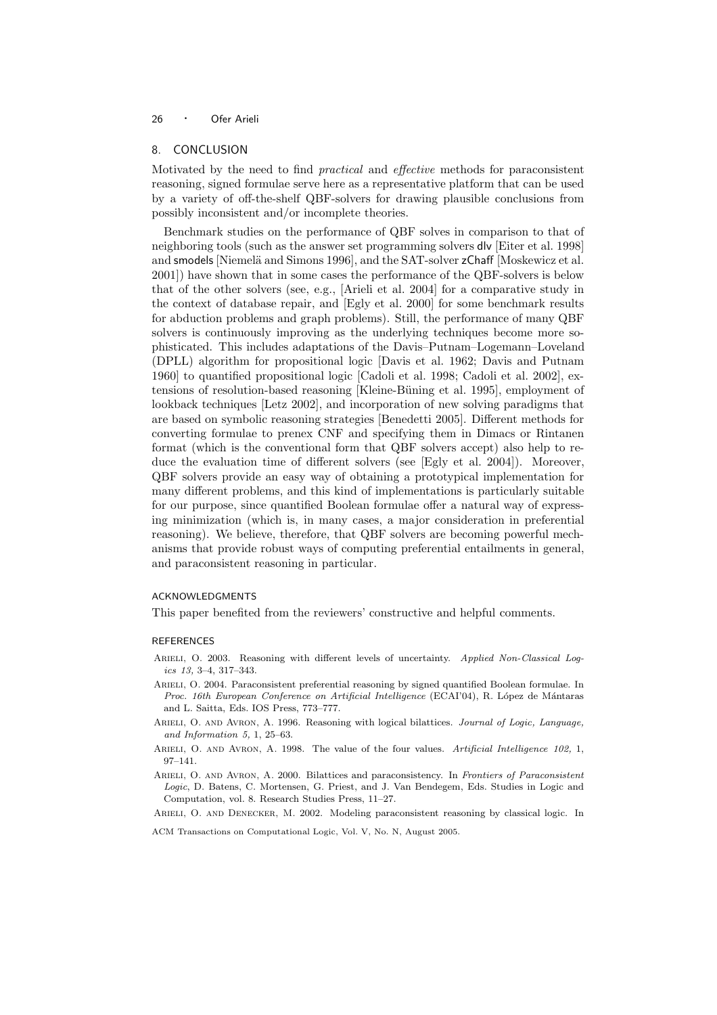#### 8. CONCLUSION

Motivated by the need to find practical and effective methods for paraconsistent reasoning, signed formulae serve here as a representative platform that can be used by a variety of off-the-shelf QBF-solvers for drawing plausible conclusions from possibly inconsistent and/or incomplete theories.

Benchmark studies on the performance of QBF solves in comparison to that of neighboring tools (such as the answer set programming solvers dlv [Eiter et al. 1998] and smodels [Niemelä and Simons 1996], and the SAT-solver zChaff [Moskewicz et al. 2001]) have shown that in some cases the performance of the QBF-solvers is below that of the other solvers (see, e.g., [Arieli et al. 2004] for a comparative study in the context of database repair, and [Egly et al. 2000] for some benchmark results for abduction problems and graph problems). Still, the performance of many QBF solvers is continuously improving as the underlying techniques become more sophisticated. This includes adaptations of the Davis–Putnam–Logemann–Loveland (DPLL) algorithm for propositional logic [Davis et al. 1962; Davis and Putnam 1960] to quantified propositional logic [Cadoli et al. 1998; Cadoli et al. 2002], extensions of resolution-based reasoning [Kleine-Büning et al. 1995], employment of lookback techniques [Letz 2002], and incorporation of new solving paradigms that are based on symbolic reasoning strategies [Benedetti 2005]. Different methods for converting formulae to prenex CNF and specifying them in Dimacs or Rintanen format (which is the conventional form that QBF solvers accept) also help to reduce the evaluation time of different solvers (see [Egly et al. 2004]). Moreover, QBF solvers provide an easy way of obtaining a prototypical implementation for many different problems, and this kind of implementations is particularly suitable for our purpose, since quantified Boolean formulae offer a natural way of expressing minimization (which is, in many cases, a major consideration in preferential reasoning). We believe, therefore, that QBF solvers are becoming powerful mechanisms that provide robust ways of computing preferential entailments in general, and paraconsistent reasoning in particular.

#### ACKNOWLEDGMENTS

This paper benefited from the reviewers' constructive and helpful comments.

#### **REFERENCES**

- ARIELI, O. 2003. Reasoning with different levels of uncertainty. Applied Non-Classical Logics 13, 3–4, 317–343.
- Arieli, O. 2004. Paraconsistent preferential reasoning by signed quantified Boolean formulae. In Proc. 16th European Conference on Artificial Intelligence (ECAI'04), R. López de Mántaras and L. Saitta, Eds. IOS Press, 773–777.
- ARIELI, O. AND AVRON, A. 1996. Reasoning with logical bilattices. Journal of Logic, Language, and Information 5, 1, 25–63.
- ARIELI, O. AND AVRON, A. 1998. The value of the four values. Artificial Intelligence 102, 1, 97–141.
- ARIELI, O. AND AVRON, A. 2000. Bilattices and paraconsistency. In Frontiers of Paraconsistent Logic, D. Batens, C. Mortensen, G. Priest, and J. Van Bendegem, Eds. Studies in Logic and Computation, vol. 8. Research Studies Press, 11–27.

ARIELI, O. AND DENECKER, M. 2002. Modeling paraconsistent reasoning by classical logic. In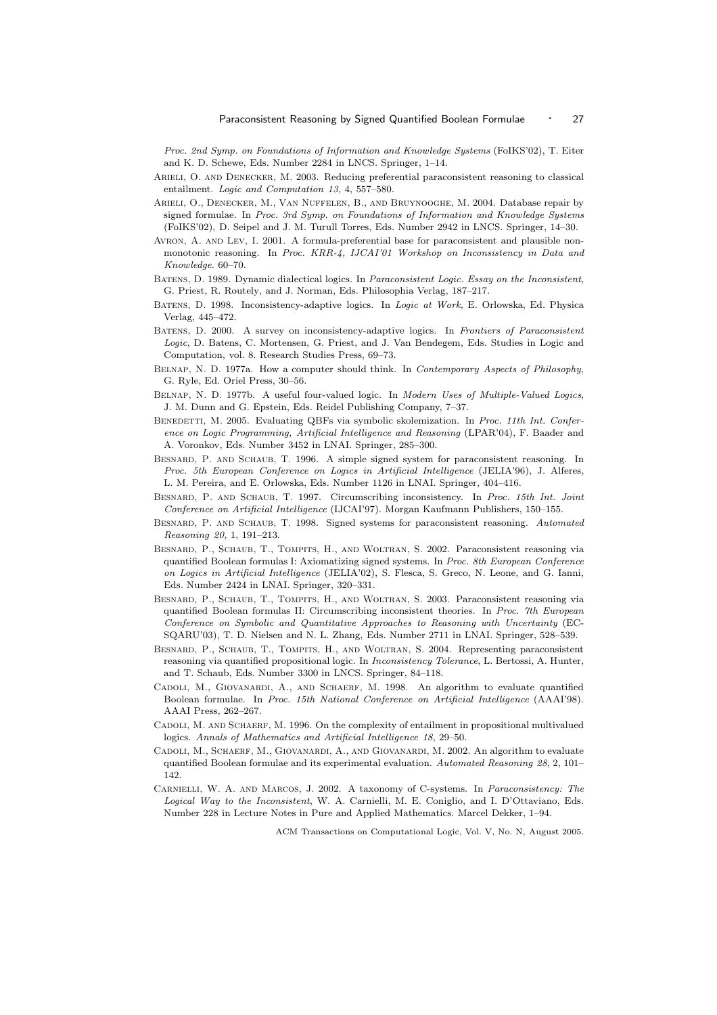Proc. 2nd Symp. on Foundations of Information and Knowledge Systems (FoIKS'02), T. Eiter and K. D. Schewe, Eds. Number 2284 in LNCS. Springer, 1–14.

- ARIELI, O. AND DENECKER, M. 2003. Reducing preferential paraconsistent reasoning to classical entailment. Logic and Computation 13, 4, 557–580.
- Arieli, O., Denecker, M., Van Nuffelen, B., and Bruynooghe, M. 2004. Database repair by signed formulae. In Proc. 3rd Symp. on Foundations of Information and Knowledge Systems (FoIKS'02), D. Seipel and J. M. Turull Torres, Eds. Number 2942 in LNCS. Springer, 14–30.
- AVRON, A. AND LEV, I. 2001. A formula-preferential base for paraconsistent and plausible nonmonotonic reasoning. In Proc. KRR-4, IJCAI'01 Workshop on Inconsistency in Data and Knowledge. 60–70.
- Batens, D. 1989. Dynamic dialectical logics. In Paraconsistent Logic. Essay on the Inconsistent, G. Priest, R. Routely, and J. Norman, Eds. Philosophia Verlag, 187–217.
- Batens, D. 1998. Inconsistency-adaptive logics. In Logic at Work, E. Orlowska, Ed. Physica Verlag, 445–472.
- Batens, D. 2000. A survey on inconsistency-adaptive logics. In Frontiers of Paraconsistent Logic, D. Batens, C. Mortensen, G. Priest, and J. Van Bendegem, Eds. Studies in Logic and Computation, vol. 8. Research Studies Press, 69–73.
- BELNAP, N. D. 1977a. How a computer should think. In *Contemporary Aspects of Philosophy*, G. Ryle, Ed. Oriel Press, 30–56.
- Belnap, N. D. 1977b. A useful four-valued logic. In Modern Uses of Multiple-Valued Logics, J. M. Dunn and G. Epstein, Eds. Reidel Publishing Company, 7–37.
- BENEDETTI, M. 2005. Evaluating OBFs via symbolic skolemization. In Proc. 11th Int. Conference on Logic Programming, Artificial Intelligence and Reasoning (LPAR'04), F. Baader and A. Voronkov, Eds. Number 3452 in LNAI. Springer, 285–300.
- Besnard, P. and Schaub, T. 1996. A simple signed system for paraconsistent reasoning. In Proc. 5th European Conference on Logics in Artificial Intelligence (JELIA'96), J. Alferes, L. M. Pereira, and E. Orlowska, Eds. Number 1126 in LNAI. Springer, 404–416.
- BESNARD, P. AND SCHAUB, T. 1997. Circumscribing inconsistency. In Proc. 15th Int. Joint Conference on Artificial Intelligence (IJCAI'97). Morgan Kaufmann Publishers, 150–155.
- BESNARD, P. AND SCHAUB, T. 1998. Signed systems for paraconsistent reasoning. Automated Reasoning 20, 1, 191–213.
- Besnard, P., Schaub, T., Tompits, H., and Woltran, S. 2002. Paraconsistent reasoning via quantified Boolean formulas I: Axiomatizing signed systems. In Proc. 8th European Conference on Logics in Artificial Intelligence (JELIA'02), S. Flesca, S. Greco, N. Leone, and G. Ianni, Eds. Number 2424 in LNAI. Springer, 320–331.
- Besnard, P., Schaub, T., Tompits, H., and Woltran, S. 2003. Paraconsistent reasoning via quantified Boolean formulas II: Circumscribing inconsistent theories. In Proc. 7th European Conference on Symbolic and Quantitative Approaches to Reasoning with Uncertainty (EC-SQARU'03), T. D. Nielsen and N. L. Zhang, Eds. Number 2711 in LNAI. Springer, 528–539.
- Besnard, P., Schaub, T., Tompits, H., and Woltran, S. 2004. Representing paraconsistent reasoning via quantified propositional logic. In Inconsistency Tolerance, L. Bertossi, A. Hunter, and T. Schaub, Eds. Number 3300 in LNCS. Springer, 84–118.
- Cadoli, M., Giovanardi, A., and Schaerf, M. 1998. An algorithm to evaluate quantified Boolean formulae. In Proc. 15th National Conference on Artificial Intelligence (AAAI'98). AAAI Press, 262–267.
- CADOLI, M. AND SCHAERF, M. 1996. On the complexity of entailment in propositional multivalued logics. Annals of Mathematics and Artificial Intelligence 18, 29–50.
- Cadoli, M., Schaerf, M., Giovanardi, A., and Giovanardi, M. 2002. An algorithm to evaluate quantified Boolean formulae and its experimental evaluation. Automated Reasoning 28, 2, 101– 142
- Carnielli, W. A. and Marcos, J. 2002. A taxonomy of C-systems. In Paraconsistency: The Logical Way to the Inconsistent, W. A. Carnielli, M. E. Coniglio, and I. D'Ottaviano, Eds. Number 228 in Lecture Notes in Pure and Applied Mathematics. Marcel Dekker, 1–94.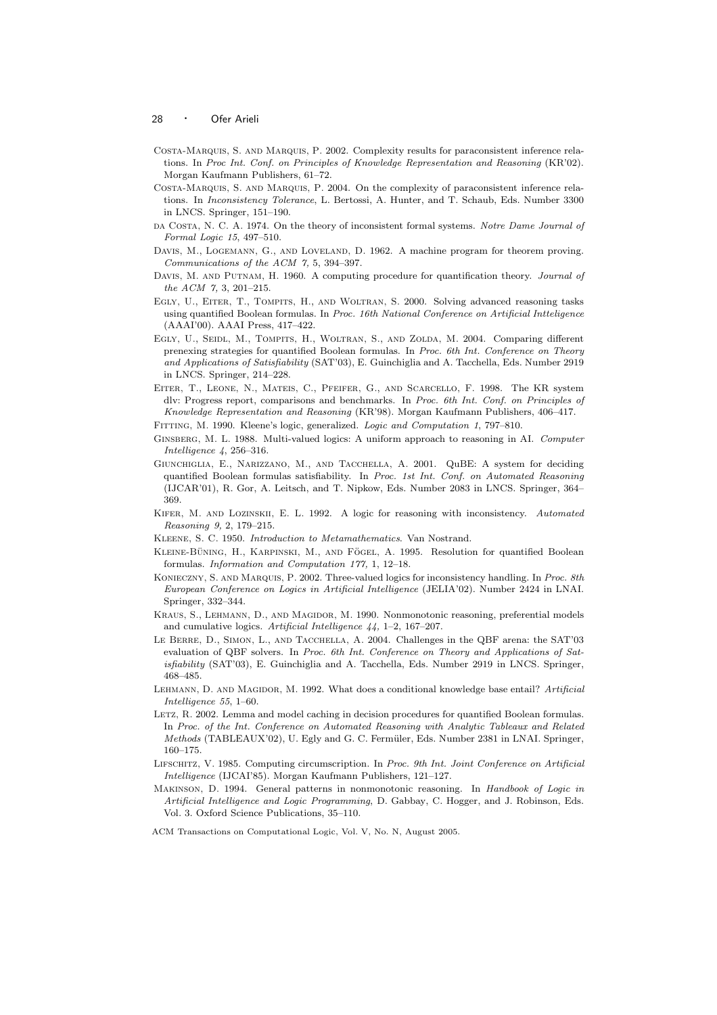- Costa-Marquis, S. and Marquis, P. 2002. Complexity results for paraconsistent inference relations. In Proc Int. Conf. on Principles of Knowledge Representation and Reasoning (KR'02). Morgan Kaufmann Publishers, 61–72.
- Costa-Marquis, S. and Marquis, P. 2004. On the complexity of paraconsistent inference relations. In Inconsistency Tolerance, L. Bertossi, A. Hunter, and T. Schaub, Eds. Number 3300 in LNCS. Springer, 151–190.
- DA COSTA, N. C. A. 1974. On the theory of inconsistent formal systems. Notre Dame Journal of Formal Logic 15, 497–510.
- DAVIS, M., LOGEMANN, G., AND LOVELAND, D. 1962. A machine program for theorem proving. Communications of the ACM 7, 5, 394–397.
- DAVIS, M. AND PUTNAM, H. 1960. A computing procedure for quantification theory. Journal of the ACM 7, 3, 201–215.
- Egly, U., Eiter, T., Tompits, H., and Woltran, S. 2000. Solving advanced reasoning tasks using quantified Boolean formulas. In Proc. 16th National Conference on Artificial Intteligence (AAAI'00). AAAI Press, 417–422.
- EGLY, U., SEIDL, M., TOMPITS, H., WOLTRAN, S., AND ZOLDA, M. 2004. Comparing different prenexing strategies for quantified Boolean formulas. In Proc. 6th Int. Conference on Theory and Applications of Satisfiability (SAT'03), E. Guinchiglia and A. Tacchella, Eds. Number 2919 in LNCS. Springer, 214–228.
- Eiter, T., Leone, N., Mateis, C., Pfeifer, G., and Scarcello, F. 1998. The KR system dlv: Progress report, comparisons and benchmarks. In Proc. 6th Int. Conf. on Principles of Knowledge Representation and Reasoning (KR'98). Morgan Kaufmann Publishers, 406–417.
- Fitting, M. 1990. Kleene's logic, generalized. Logic and Computation 1, 797–810.
- GINSBERG, M. L. 1988. Multi-valued logics: A uniform approach to reasoning in AI. Computer Intelligence 4, 256–316.
- Giunchiglia, E., Narizzano, M., and Tacchella, A. 2001. QuBE: A system for deciding quantified Boolean formulas satisfiability. In Proc. 1st Int. Conf. on Automated Reasoning (IJCAR'01), R. Gor, A. Leitsch, and T. Nipkow, Eds. Number 2083 in LNCS. Springer, 364– 369.
- KIFER, M. AND LOZINSKII, E. L. 1992. A logic for reasoning with inconsistency. Automated Reasoning 9, 2, 179–215.
- Kleene, S. C. 1950. Introduction to Metamathematics. Van Nostrand.
- KLEINE-BÜNING, H., KARPINSKI, M., AND FÖGEL, A. 1995. Resolution for quantified Boolean formulas. Information and Computation 177, 1, 12–18.
- Konieczny, S. and Marquis, P. 2002. Three-valued logics for inconsistency handling. In Proc. 8th European Conference on Logics in Artificial Intelligence (JELIA'02). Number 2424 in LNAI. Springer, 332–344.
- Kraus, S., Lehmann, D., and Magidor, M. 1990. Nonmonotonic reasoning, preferential models and cumulative logics. Artificial Intelligence 44, 1–2, 167–207.
- Le Berre, D., Simon, L., and Tacchella, A. 2004. Challenges in the QBF arena: the SAT'03 evaluation of QBF solvers. In Proc. 6th Int. Conference on Theory and Applications of Satisfiability (SAT'03), E. Guinchiglia and A. Tacchella, Eds. Number 2919 in LNCS. Springer, 468–485.
- LEHMANN, D. AND MAGIDOR, M. 1992. What does a conditional knowledge base entail? Artificial Intelligence 55, 1–60.
- LETZ, R. 2002. Lemma and model caching in decision procedures for quantified Boolean formulas. In Proc. of the Int. Conference on Automated Reasoning with Analytic Tableaux and Related Methods (TABLEAUX'02), U. Egly and G. C. Fermüler, Eds. Number 2381 in LNAI. Springer, 160–175.
- Lifschitz, V. 1985. Computing circumscription. In Proc. 9th Int. Joint Conference on Artificial Intelligence (IJCAI'85). Morgan Kaufmann Publishers, 121–127.
- MAKINSON, D. 1994. General patterns in nonmonotonic reasoning. In Handbook of Logic in Artificial Intelligence and Logic Programming, D. Gabbay, C. Hogger, and J. Robinson, Eds. Vol. 3. Oxford Science Publications, 35–110.